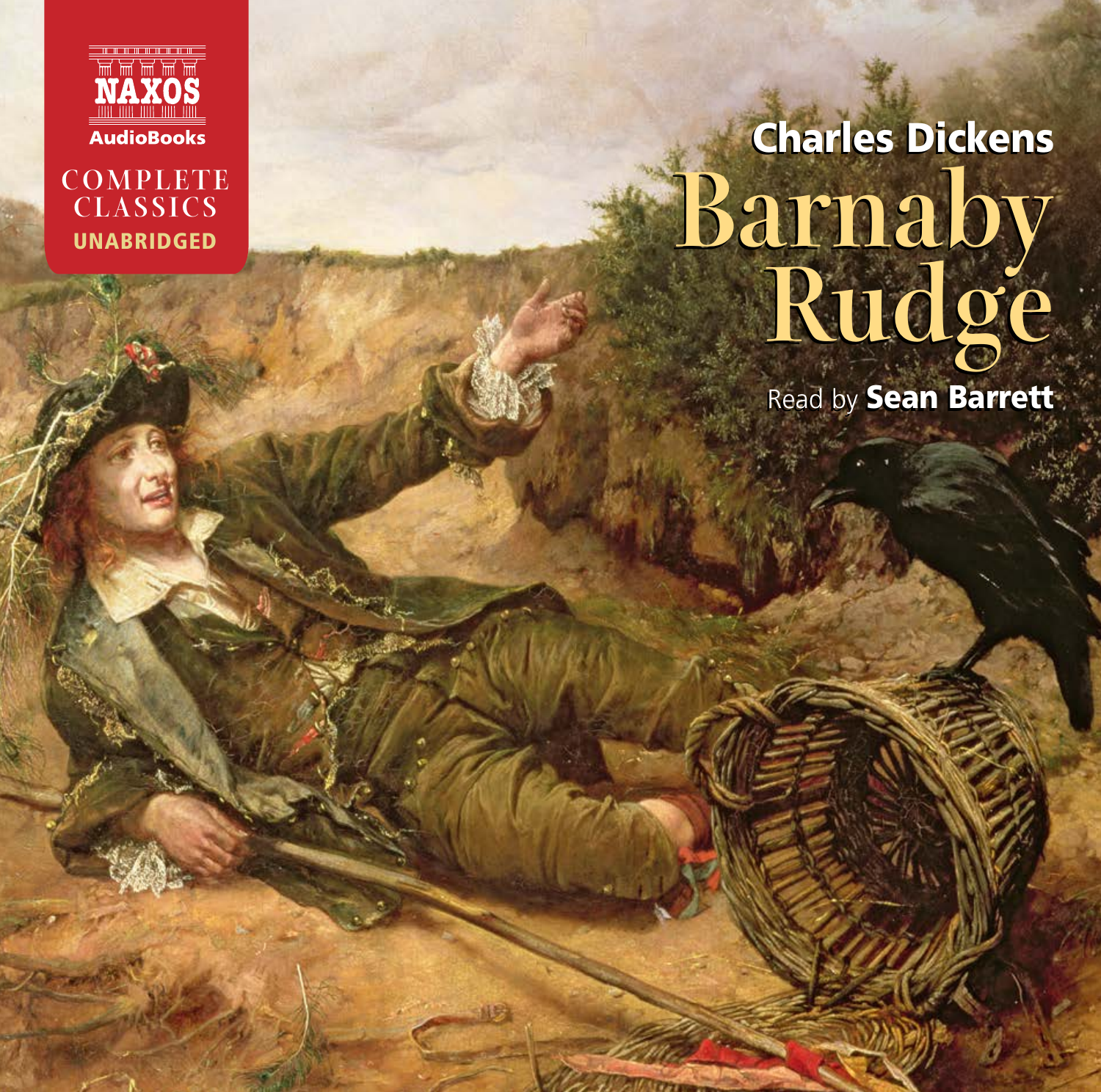



# Charles Dickens Charles Dickens **Barnaby Rudge Barnaby Rudge**

Read by Sean Barrett Read by Sean Barrett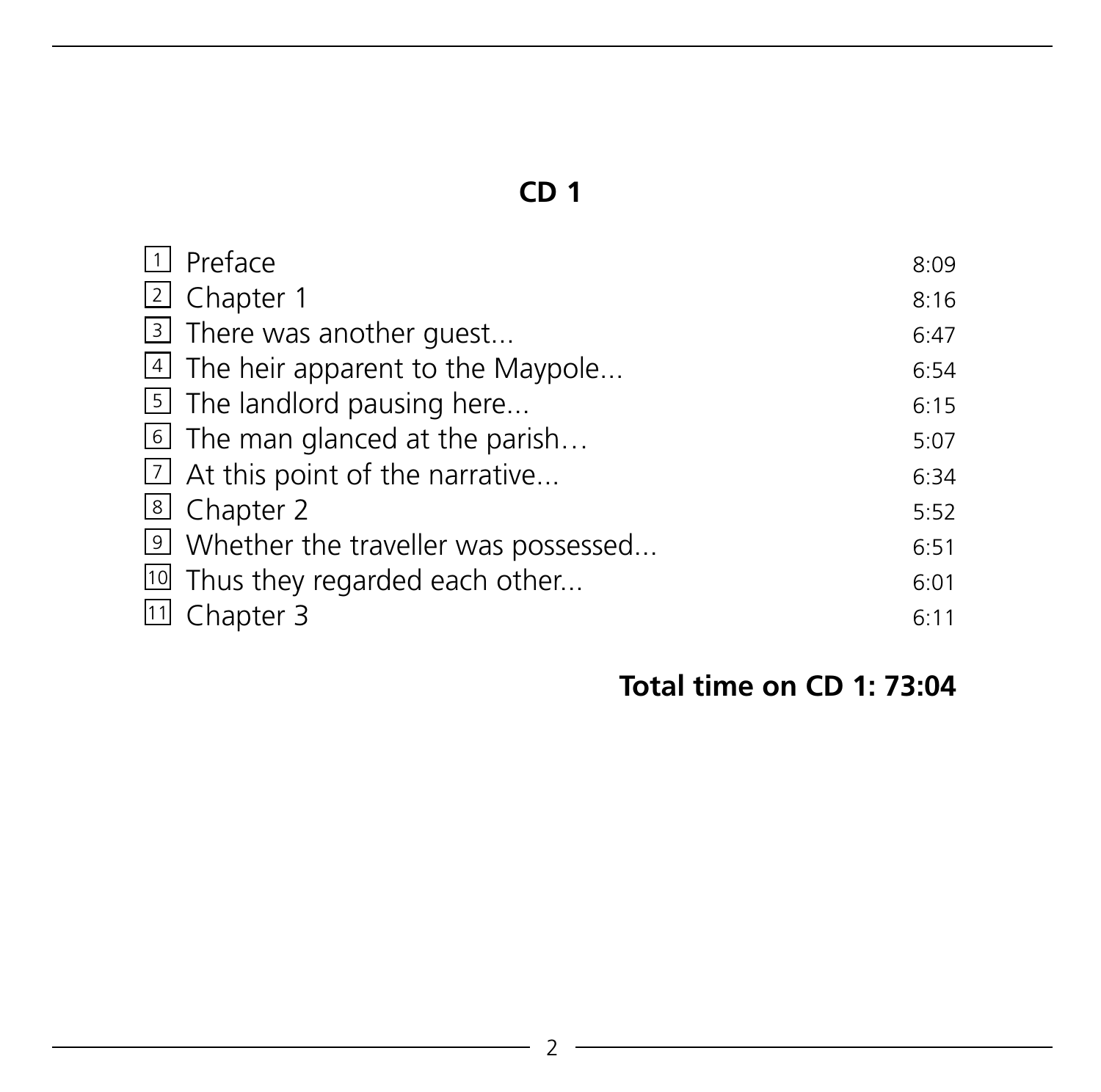| $\Box$ Preface                              | 8:09 |
|---------------------------------------------|------|
| 2 Chapter 1                                 | 8:16 |
| 3 There was another guest                   | 6:47 |
| 4 The heir apparent to the Maypole          | 6:54 |
| $\boxed{5}$ The landlord pausing here       | 6:15 |
| The man glanced at the parish               | 5:07 |
| $\boxed{2}$ At this point of the narrative  | 6:34 |
| 8 Chapter 2                                 | 5:52 |
| 9 Whether the traveller was possessed       | 6:51 |
| <sup>10</sup> Thus they regarded each other | 6:01 |
| 11 Chapter 3                                | 6:11 |

# **Total time on CD 1: 73:04**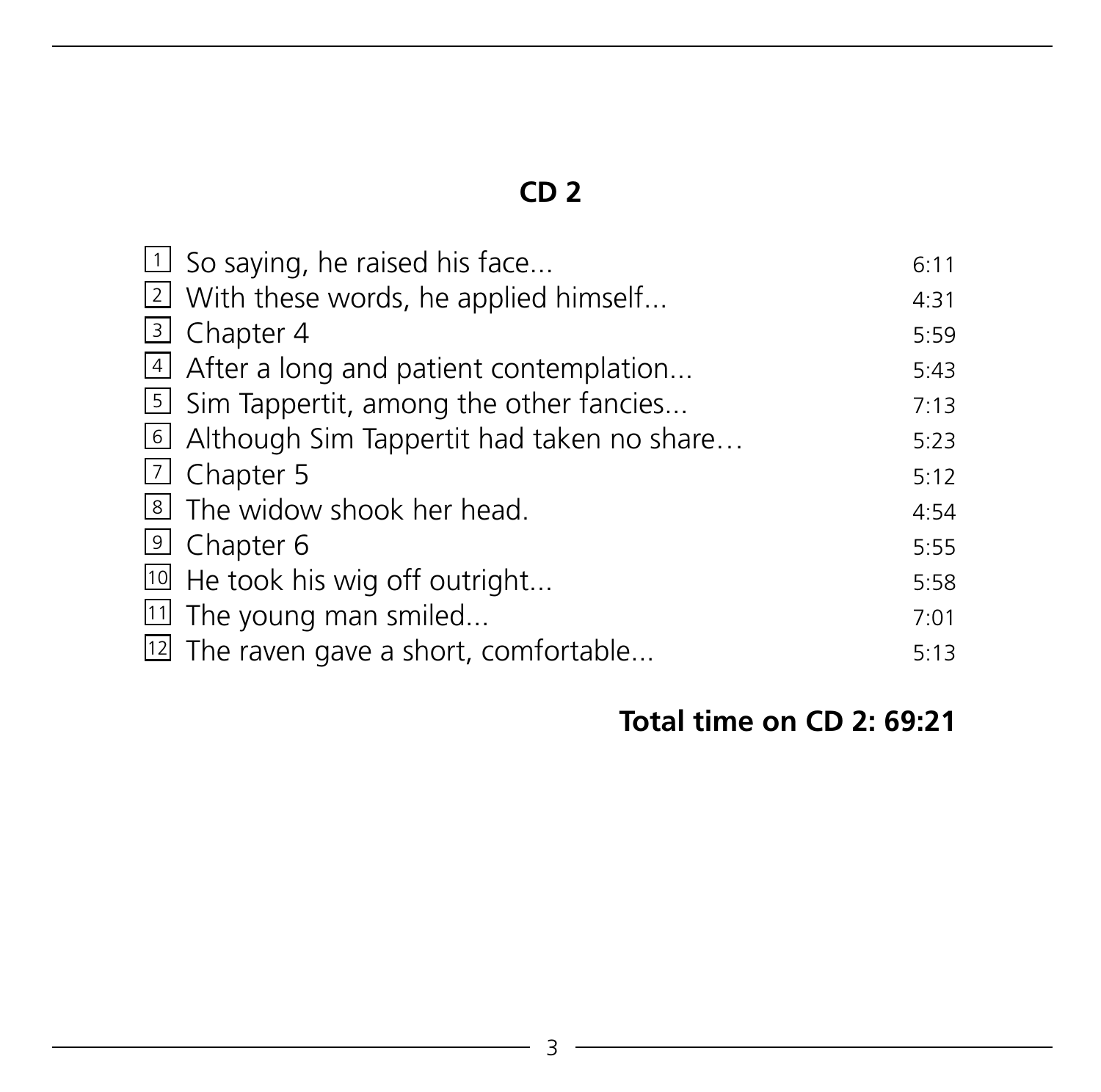| $\Box$ So saying, he raised his face                | 6:11 |
|-----------------------------------------------------|------|
| [2] With these words, he applied himself            | 4:31 |
| 3 Chapter 4                                         | 5:59 |
| $\vert$ 4 After a long and patient contemplation    | 5:43 |
| [5] Sim Tappertit, among the other fancies          | 7:13 |
| lel Although Sim Tappertit had taken no share       | 5:23 |
| <b>Z</b> Chapter 5                                  | 5:12 |
| [8] The widow shook her head.                       | 4:54 |
| <sup>9</sup> Chapter 6                              | 5:55 |
| <sup>10</sup> He took his wig off outright          | 5:58 |
| $\boxed{11}$ The young man smiled                   | 7:01 |
| <sup>[12]</sup> The raven gave a short, comfortable | 5:13 |

# **Total time on CD 2: 69:21**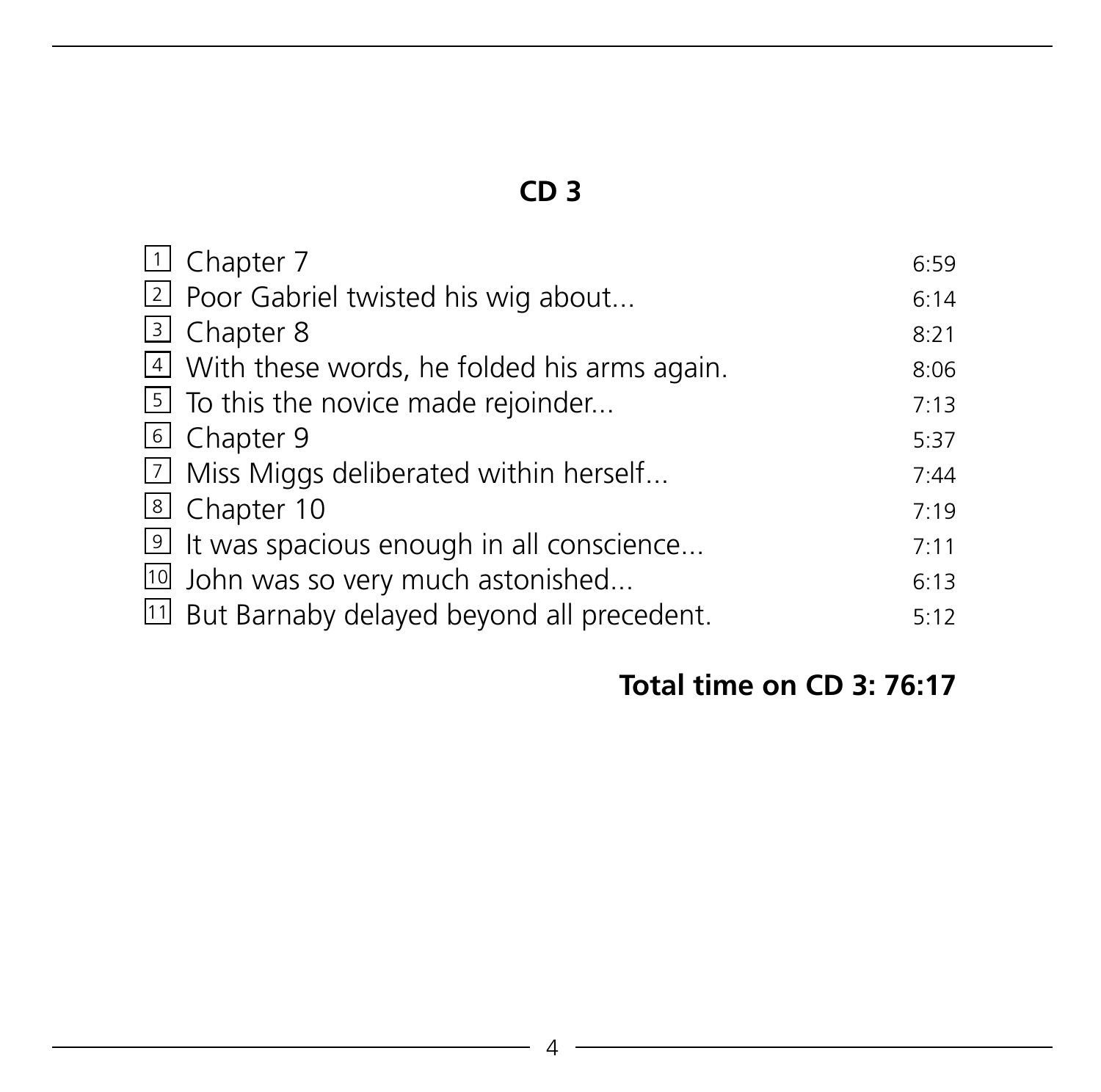| 1 Chapter 7                                   | 6:59 |
|-----------------------------------------------|------|
| 2 Poor Gabriel twisted his wig about          | 6:14 |
| 3 Chapter 8                                   | 8:21 |
| 4 With these words, he folded his arms again. | 8:06 |
| [5] To this the novice made rejoinder         | 7:13 |
| 6 Chapter 9                                   | 5:37 |
| [7] Miss Miggs deliberated within herself     | 7:44 |
| 8 Chapter 10                                  | 7:19 |
| If was spacious enough in all conscience      | 7:11 |
| 10 John was so very much astonished           | 6:13 |
| [1] But Barnaby delayed beyond all precedent. | 5:12 |

# **Total time on CD 3: 76:17**

and the control of the control of the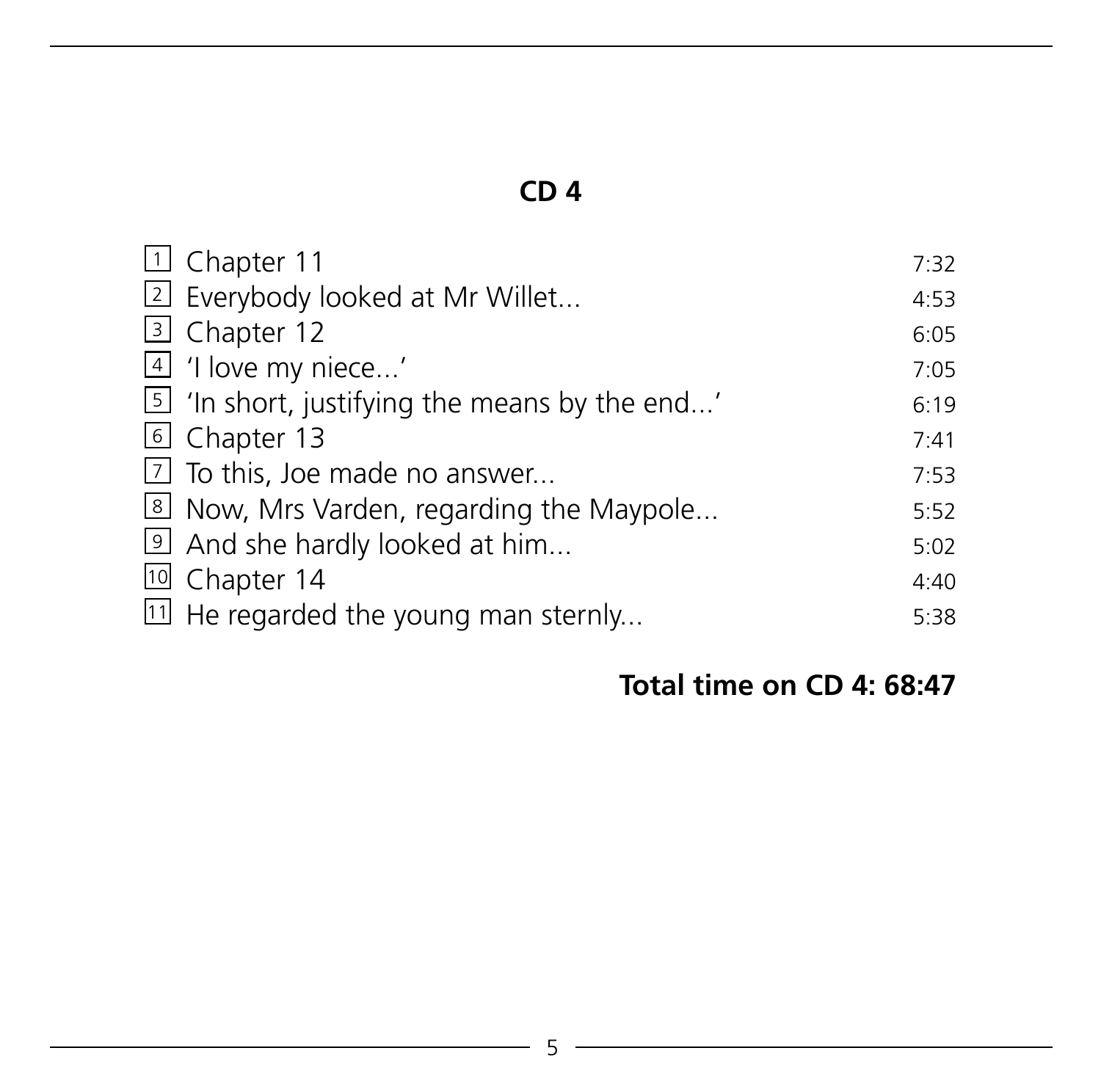| 11 Chapter 11                                   | 7:32 |
|-------------------------------------------------|------|
| 2 Everybody looked at Mr Willet                 | 4:53 |
| 3 Chapter 12                                    | 6:05 |
| 4 'I love my niece'                             | 7:05 |
| [5] 'In short, justifying the means by the end' | 6:19 |
| 6 Chapter 13                                    | 7:41 |
| $\boxed{7}$ To this, Joe made no answer         | 7:53 |
| Now, Mrs Varden, regarding the Maypole          | 5:52 |
| 9 And she hardly looked at him                  | 5:02 |
| 10 Chapter 14                                   | 4:40 |
| <sup>11</sup> He regarded the young man sternly | 5:38 |

# **Total time on CD 4: 68:47**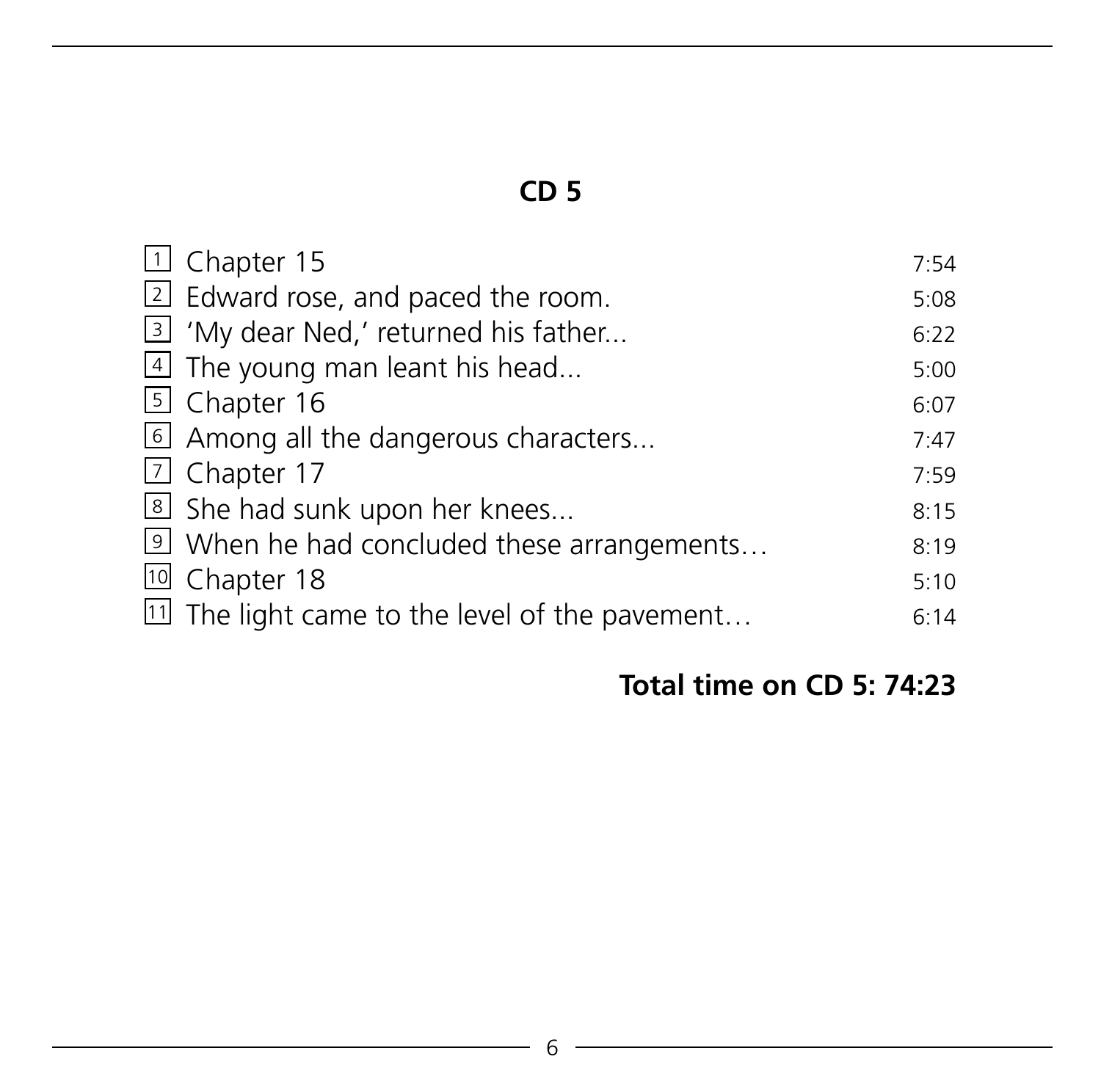| 1 Chapter 15                                      | 7:54 |
|---------------------------------------------------|------|
| 2 Edward rose, and paced the room.                | 5:08 |
| I 3 'My dear Ned,' returned his father            | 6:22 |
| $\vert$ The young man leant his head              | 5:00 |
| 5 Chapter 16                                      | 6:07 |
| 6 Among all the dangerous characters              | 7:47 |
| 7 Chapter 17                                      | 7:59 |
| She had sunk upon her knees                       | 8:15 |
| <b>9</b> When he had concluded these arrangements | 8:19 |
| 10 Chapter 18                                     | 5:10 |
| III The light came to the level of the pavement   | 6:14 |

# **Total time on CD 5: 74:23**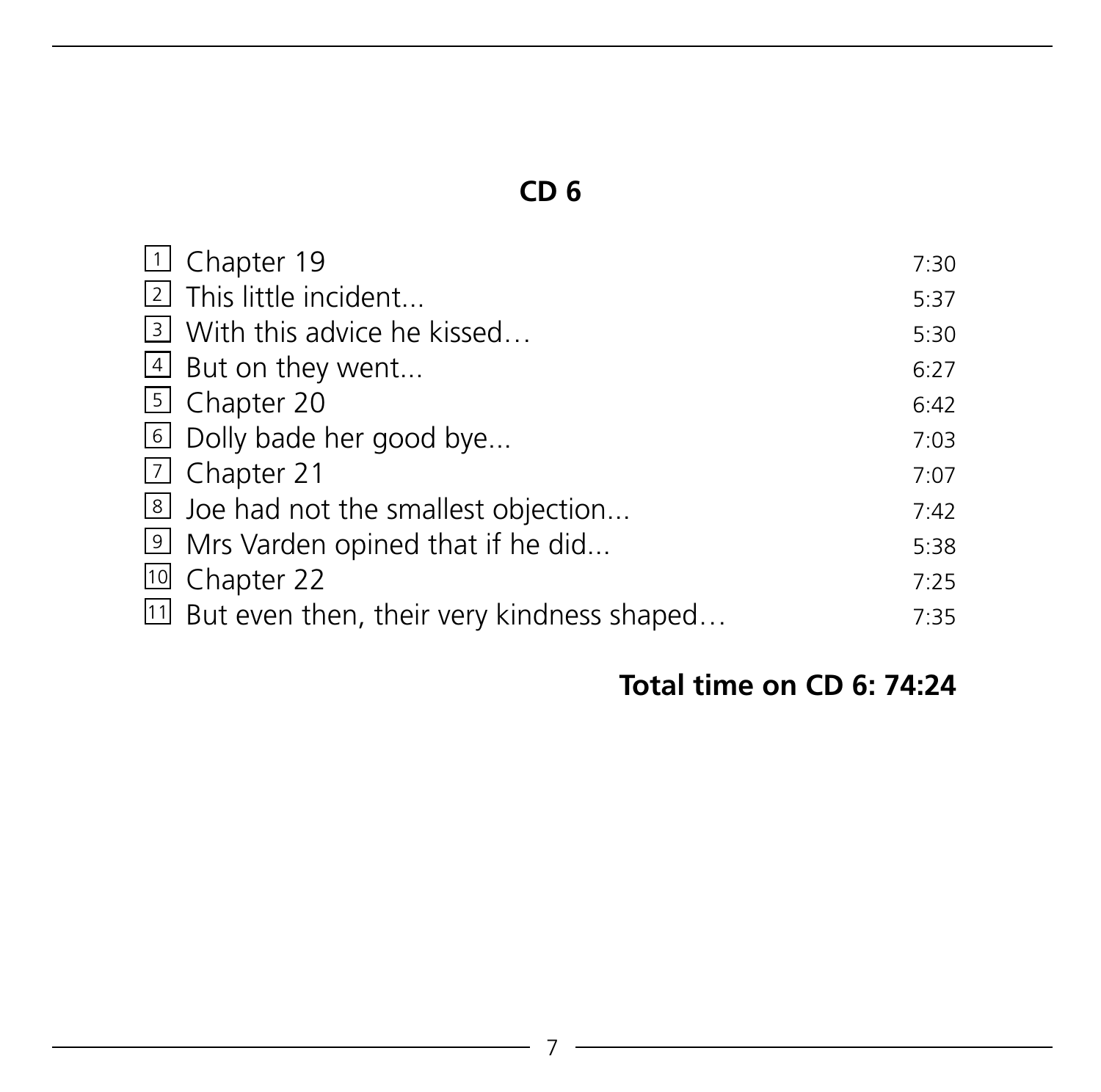| 19 Chapter 19                                | 7:30 |
|----------------------------------------------|------|
| 2 This little incident                       | 5:37 |
| 3 With this advice he kissed                 | 5:30 |
| 4 But on they went                           | 6:27 |
| 5 Chapter 20                                 | 6:42 |
| <b>b</b> Dolly bade her good bye             | 7:03 |
| <sub>[7</sub> ] Chapter 21                   | 7:07 |
| Joe had not the smallest objection           | 7:42 |
| I Mrs Varden opined that if he did           | 5:38 |
| 10 Chapter 22                                | 7:25 |
| 11 But even then, their very kindness shaped | 7:35 |

# **Total time on CD 6: 74:24**

<u> 1980 - Johann Barbara, martxa a</u>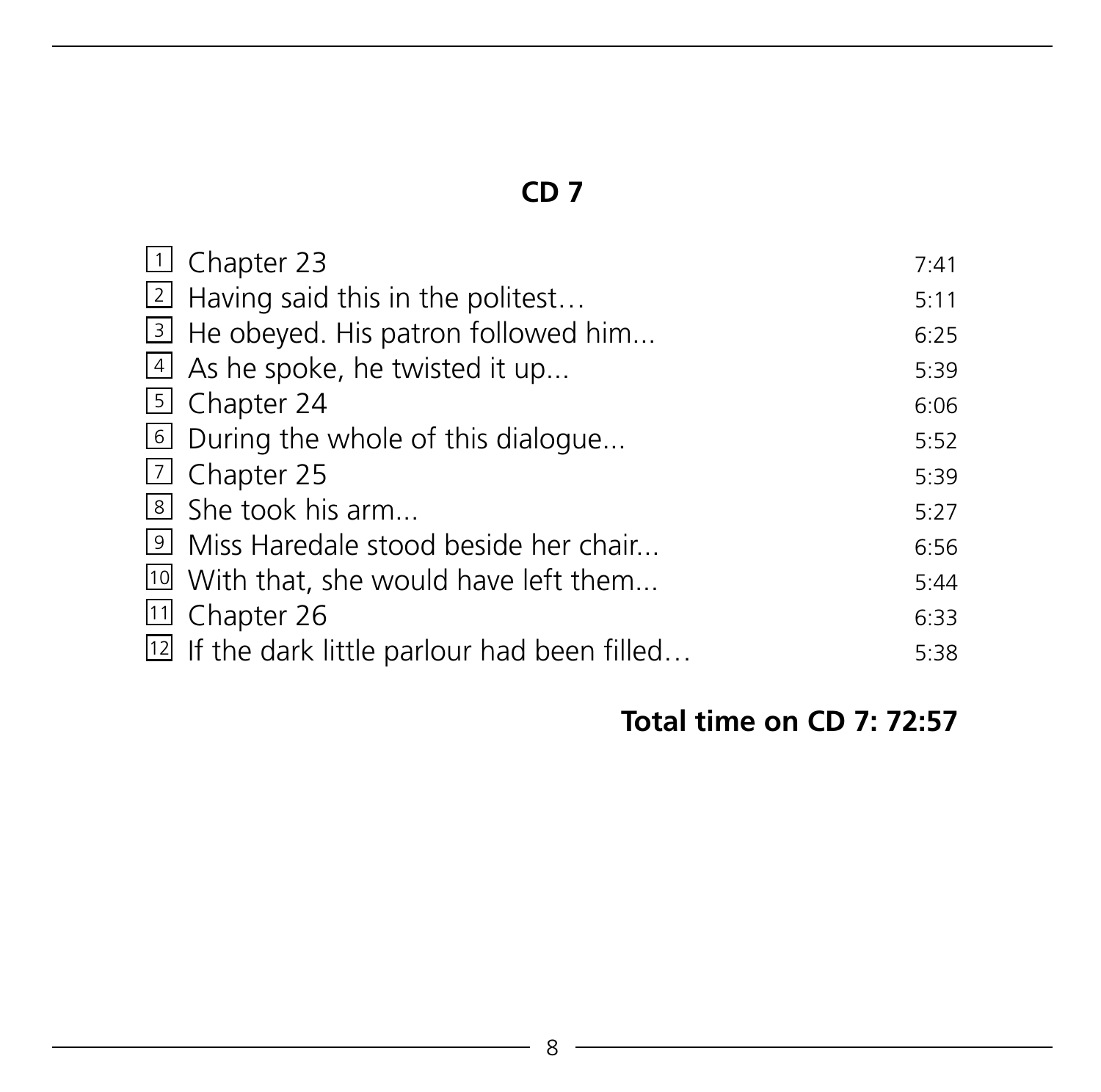| 1 Chapter 23                                               | 7:41 |
|------------------------------------------------------------|------|
| $\boxed{2}$ Having said this in the politest               | 5:11 |
| 3 He obeyed. His patron followed him                       | 6:25 |
| $\lfloor 4 \rfloor$ As he spoke, he twisted it up          | 5:39 |
| 5 Chapter 24                                               | 6:06 |
| During the whole of this dialogue                          | 5:52 |
| $\boxed{7}$ Chapter 25                                     | 5:39 |
| $\vert$ 8 She took his arm                                 | 5:27 |
| I Miss Haredale stood beside her chair                     | 6:56 |
| <sup>10</sup> With that, she would have left them          | 5:44 |
| <sup>11</sup> Chapter 26                                   | 6:33 |
| <sup>[12]</sup> If the dark little parlour had been filled | 5:38 |

# **Total time on CD 7: 72:57**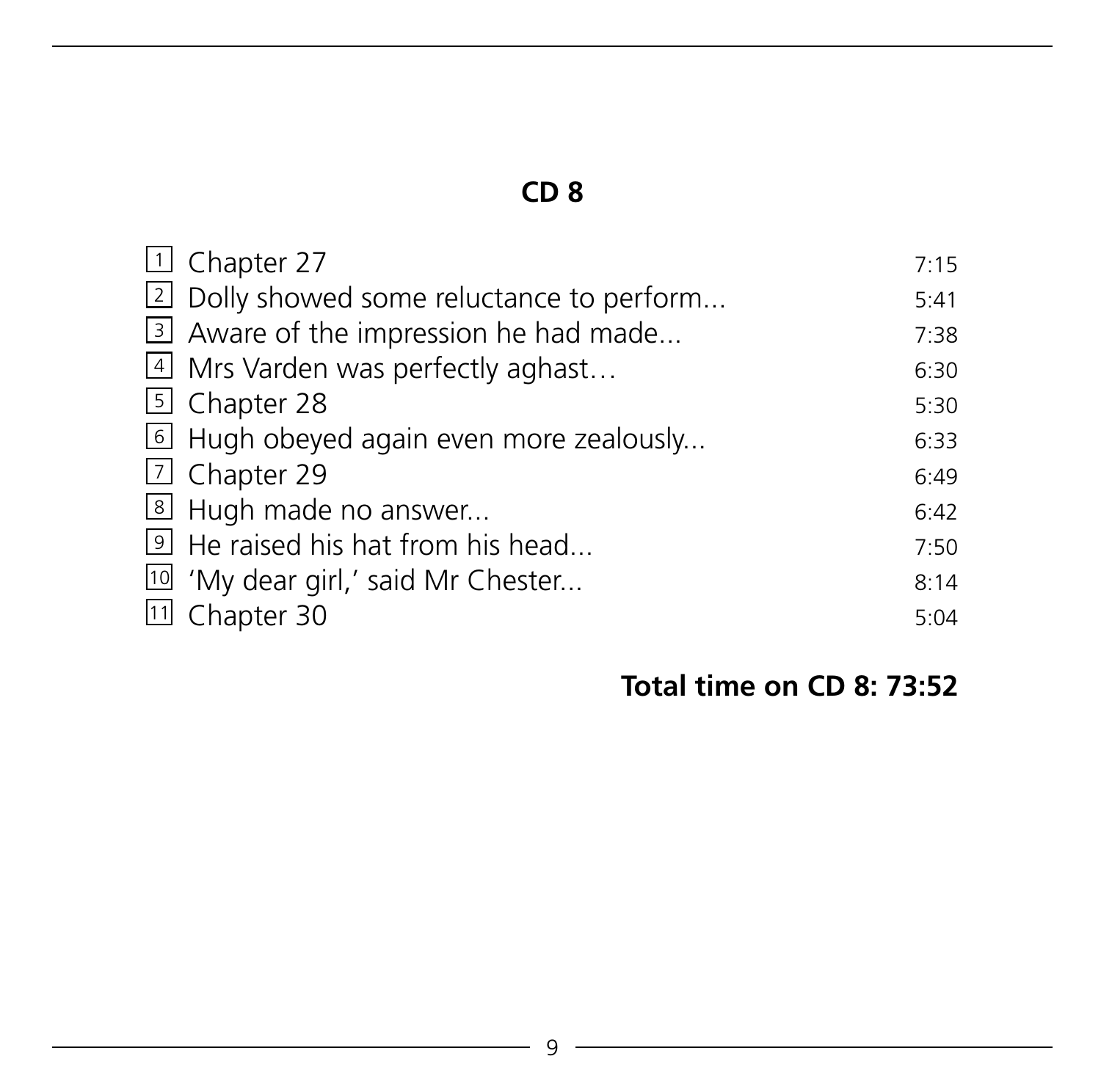| 1 Chapter 27                                  | 7:15 |
|-----------------------------------------------|------|
|                                               |      |
| [2] Dolly showed some reluctance to perform   | 5:41 |
| 3 Aware of the impression he had made         | 7:38 |
| 4 Mrs Varden was perfectly aghast             | 6:30 |
| <b>5</b> Chapter 28                           | 5:30 |
| 6 Hugh obeyed again even more zealously       | 6:33 |
| <b>7</b> Chapter 29                           | 6:49 |
| 8 Hugh made no answer                         | 6:42 |
| Level He raised his hat from his head         | 7:50 |
| <sup>10</sup> 'My dear girl,' said Mr Chester | 8:14 |
| 11 Chapter 30                                 | 5:04 |

# **Total time on CD 8: 73:52**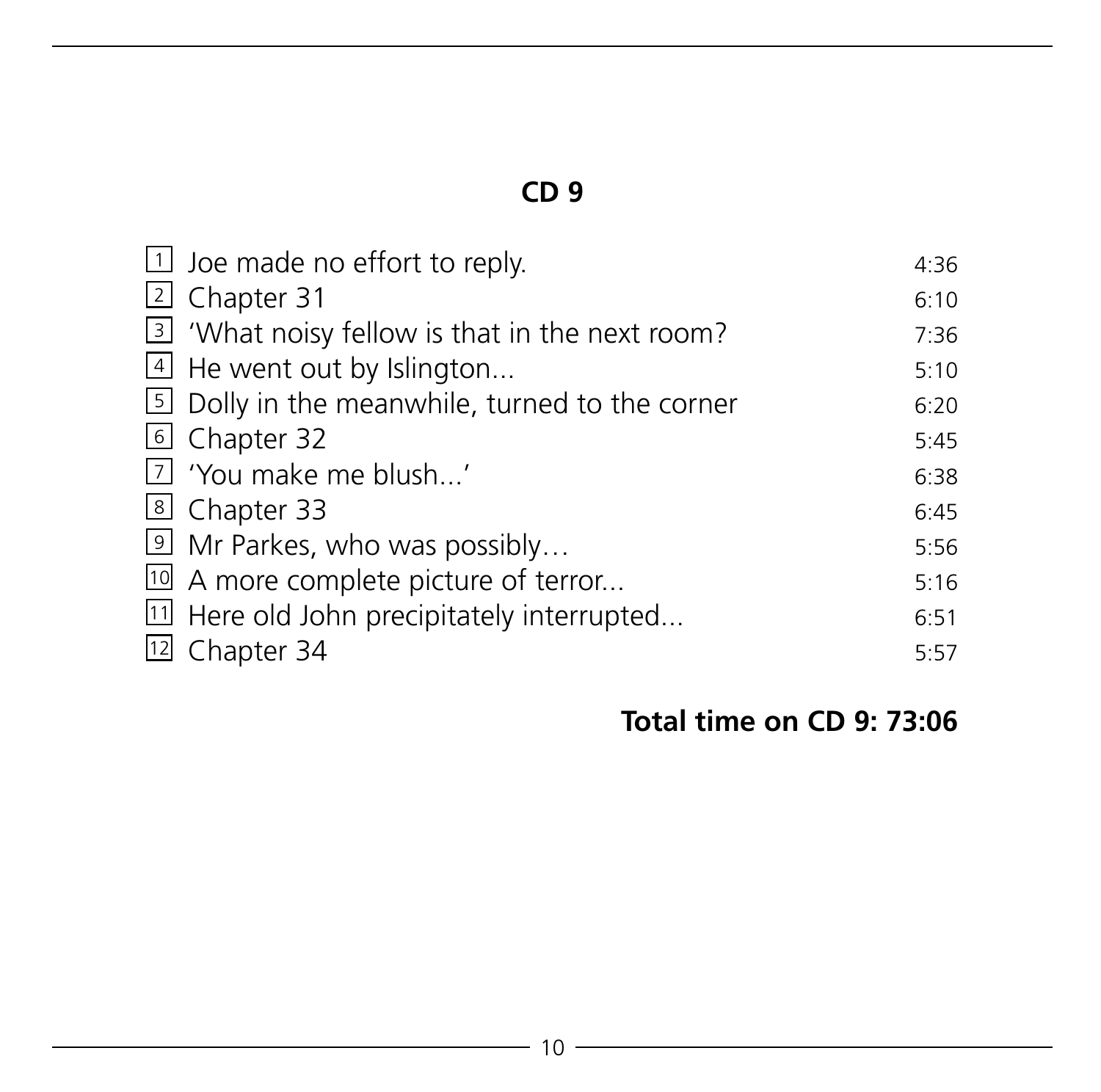| $\boxed{1}$ Joe made no effort to reply.              | 4:36 |
|-------------------------------------------------------|------|
| 2 Chapter 31                                          | 6:10 |
| 3 'What noisy fellow is that in the next room?        | 7:36 |
| $\vert$ 4 He went out by Islington                    | 5:10 |
| <b>E</b> Dolly in the meanwhile, turned to the corner | 6:20 |
| 6 Chapter 32                                          | 5:45 |
| [7] 'You make me blush'                               | 6:38 |
| 8 Chapter 33                                          | 6:45 |
| 9 Mr Parkes, who was possibly                         | 5:56 |
| 10 A more complete picture of terror                  | 5:16 |
| [11] Here old John precipitately interrupted          | 6:51 |
| [12] Chapter 34                                       | 5:57 |

#### **Total time on CD 9: 73:06**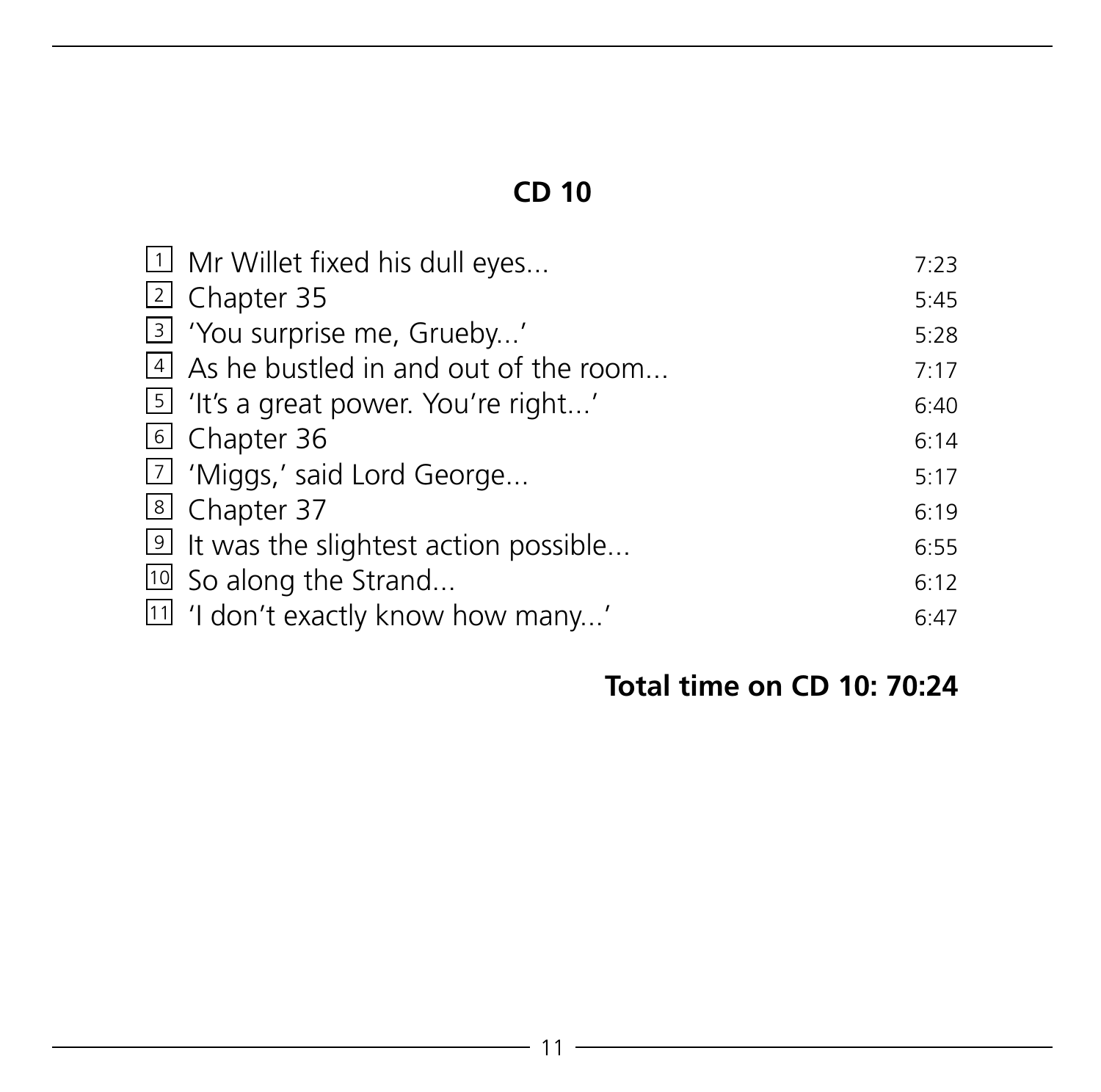| I Mr Willet fixed his dull eyes                | 7:23 |
|------------------------------------------------|------|
| 2 Chapter 35                                   | 5:45 |
| 3 'You surprise me, Grueby'                    | 5:28 |
| $\vert$ 4 As he bustled in and out of the room | 7:17 |
| [5] 'It's a great power. You're right'         | 6:40 |
| 6 Chapter 36                                   | 6:14 |
| 7 'Miggs,' said Lord George                    | 5:17 |
| 8 Chapter 37                                   | 6:19 |
| let twas the slightest action possible         | 6:55 |
| <sup>10</sup> So along the Strand              | 6:12 |
| [1] 'I don't exactly know how many'            | 6:47 |

# **Total time on CD 10: 70:24**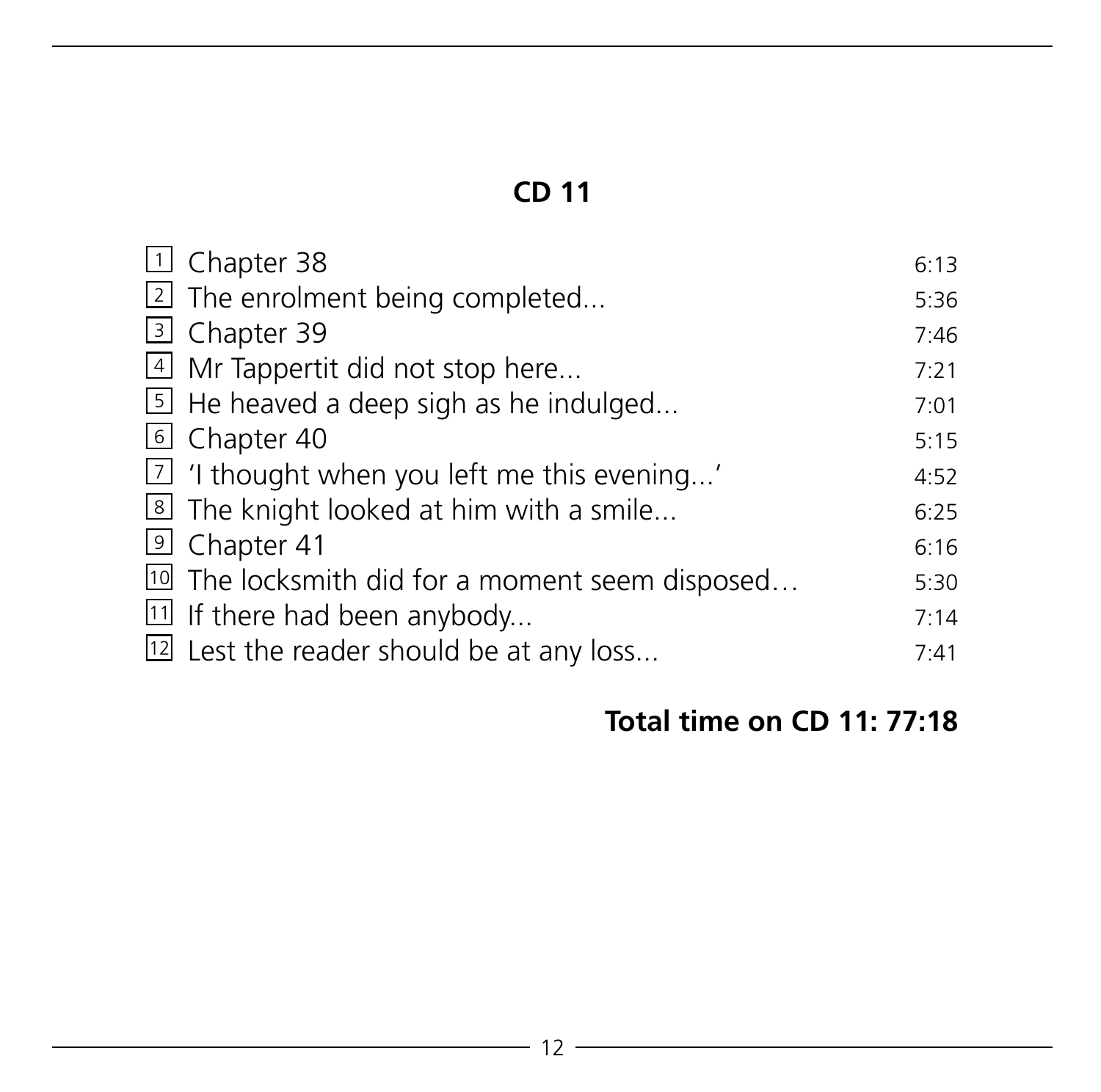| $\Box$ Chapter 38                                          | 6:13 |
|------------------------------------------------------------|------|
| 2 The enrolment being completed                            | 5:36 |
| <b>B</b> Chapter 39                                        | 7:46 |
| 4 Mr Tappertit did not stop here                           | 7:21 |
| $\boxed{5}$ He heaved a deep sigh as he indulged           | 7:01 |
| 6 Chapter 40                                               | 5:15 |
| $\boxed{7}$ 'I thought when you left me this evening'      | 4:52 |
| I The knight looked at him with a smile                    | 6:25 |
| 9 Chapter 41                                               | 6:16 |
| <sup>10</sup> The locksmith did for a moment seem disposed | 5:30 |
| <sup>[11]</sup> If there had been anybody                  | 7:14 |
| [12] Lest the reader should be at any loss                 | 7:41 |

# **Total time on CD 11: 77:18**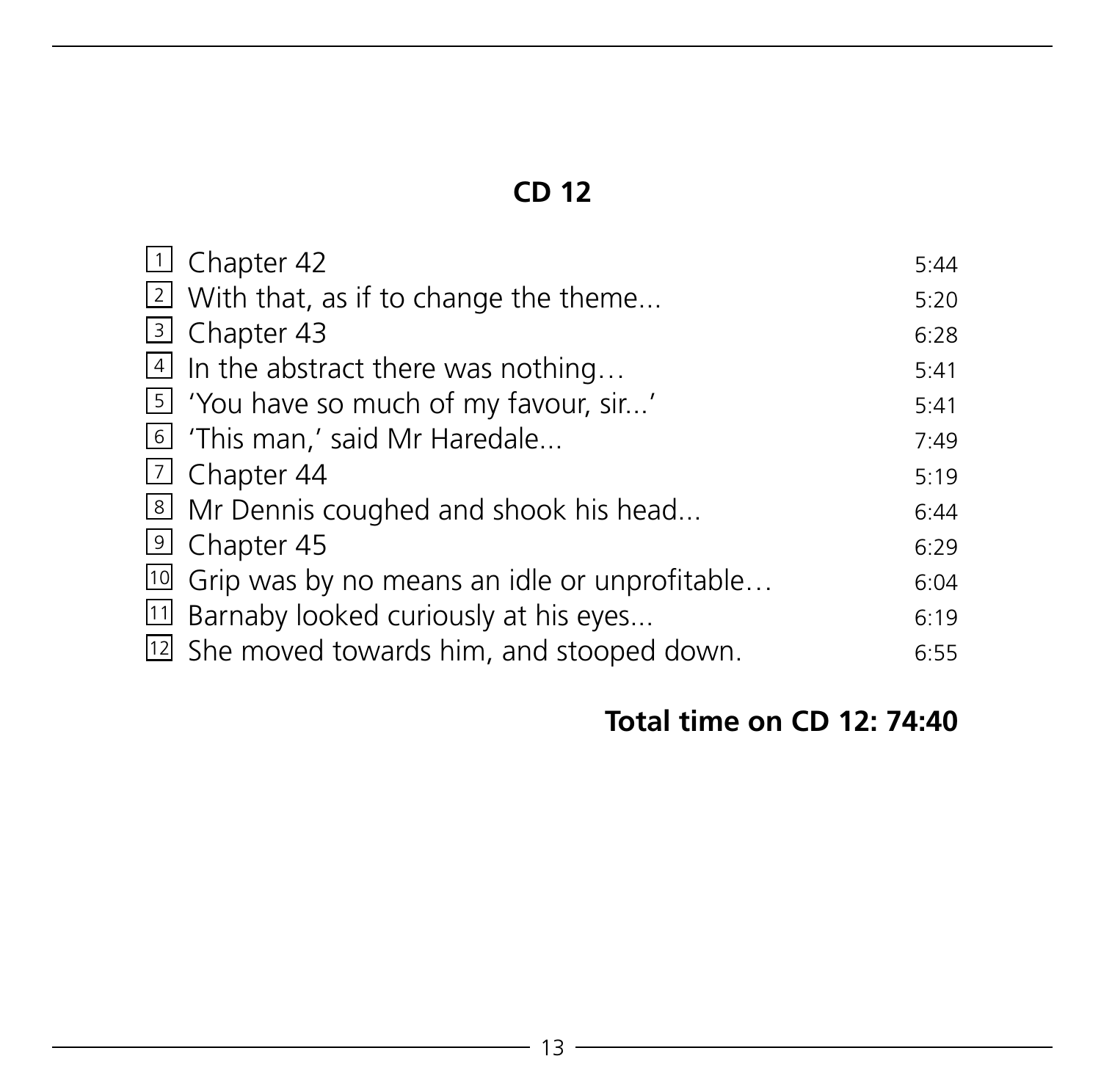| $\Box$ Chapter 42                                          | 5:44 |
|------------------------------------------------------------|------|
| $\boxed{2}$ With that, as if to change the theme           | 5:20 |
| 3 Chapter 43                                               | 6:28 |
| $\boxed{4}$ In the abstract there was nothing              | 5:41 |
| [5] 'You have so much of my favour, sir'                   | 5:41 |
| I I This man,' said Mr Haredale                            | 7:49 |
| $\vert$ Chapter 44                                         | 5:19 |
| I Mr Dennis coughed and shook his head                     | 6:44 |
| <sup>9</sup> Chapter 45                                    | 6:29 |
| <sup>10</sup> Grip was by no means an idle or unprofitable | 6:04 |
| 11 Barnaby looked curiously at his eyes                    | 6:19 |
| [12] She moved towards him, and stooped down.              | 6:55 |

# **Total time on CD 12: 74:40**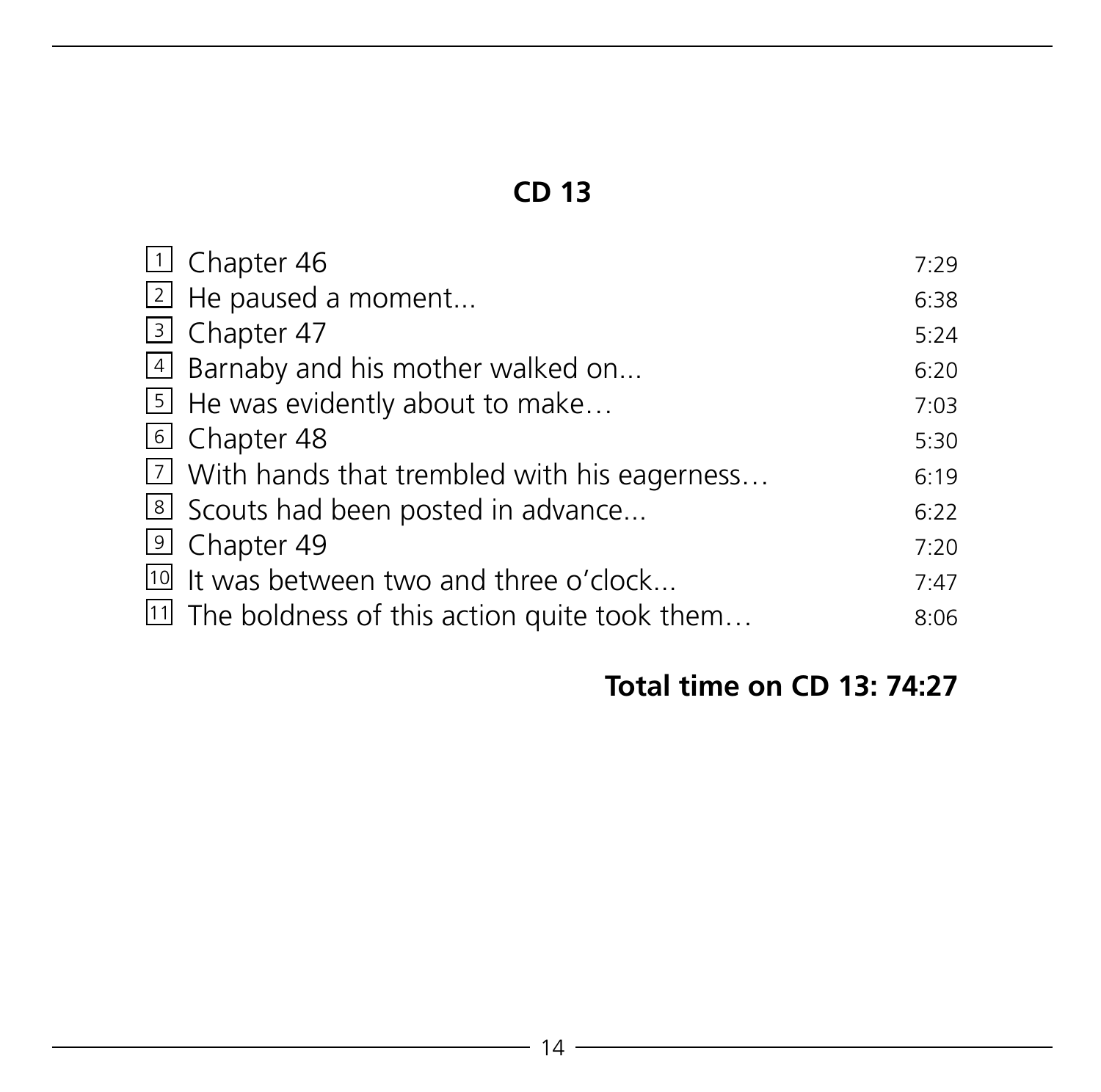| $\Box$ Chapter 46                                         | 7:29 |
|-----------------------------------------------------------|------|
| $\boxed{2}$ He paused a moment                            | 6:38 |
| 3 Chapter 47                                              | 5:24 |
| 4 Barnaby and his mother walked on                        | 6:20 |
| $\boxed{5}$ He was evidently about to make                | 7:03 |
| 6 Chapter 48                                              | 5:30 |
| $\boxed{7}$ With hands that trembled with his eagerness   | 6:19 |
| Scouts had been posted in advance                         | 6:22 |
| 9 Chapter 49                                              | 7:20 |
| <sup>10</sup> It was between two and three o'clock        | 7:47 |
| <sup>11</sup> The boldness of this action quite took them | 8:06 |

# **Total time on CD 13: 74:27**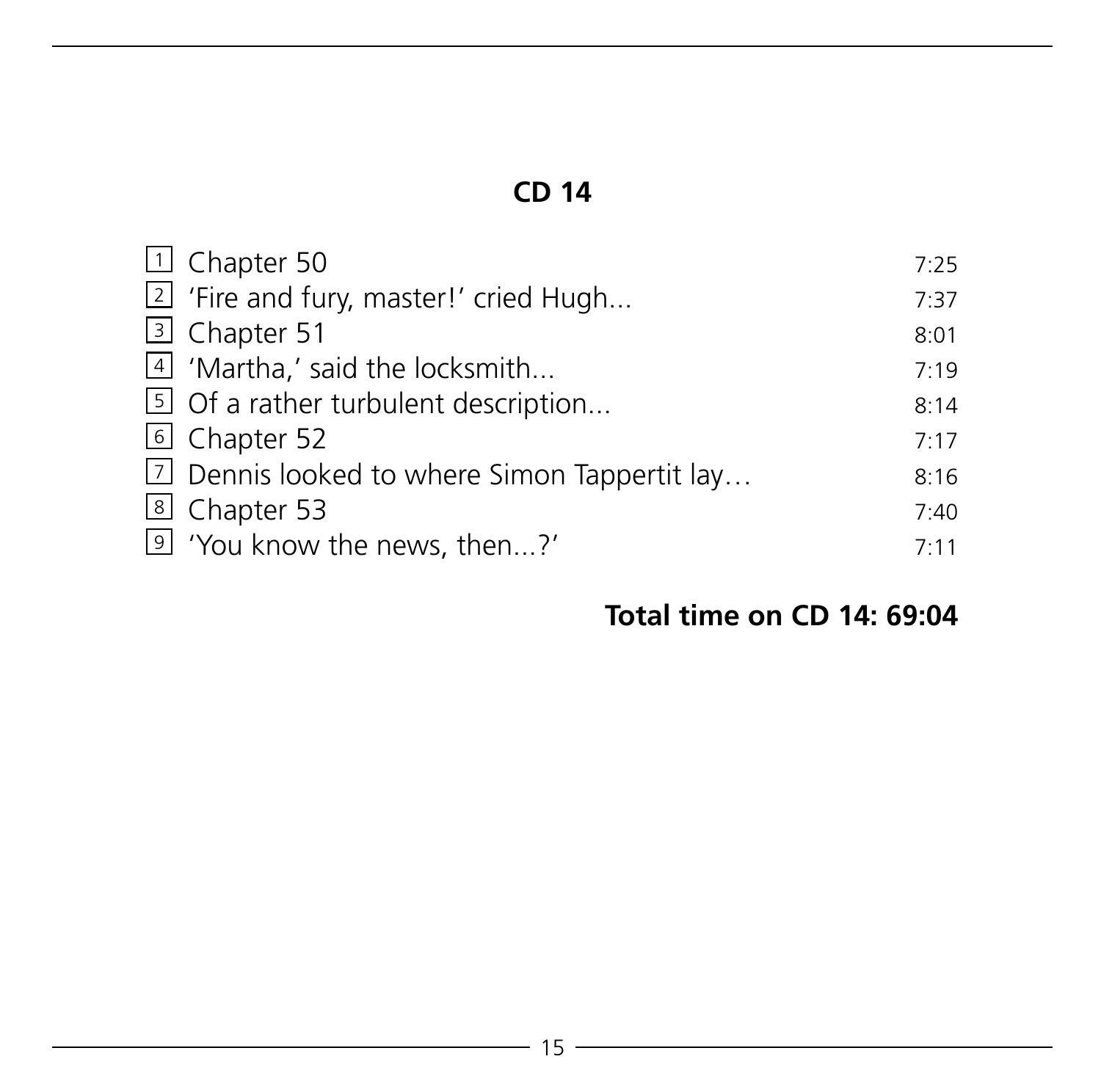| $\Box$ Chapter 50                                      | 7:25 |
|--------------------------------------------------------|------|
| <sup>2</sup> 'Fire and fury, master!' cried Hugh       | 7:37 |
| 3 Chapter 51                                           | 8:01 |
| 4 'Martha,' said the locksmith                         | 7:19 |
| $\boxed{5}$ Of a rather turbulent description          | 8:14 |
| 6 Chapter 52                                           | 7:17 |
| $\boxed{7}$ Dennis looked to where Simon Tappertit lay | 8:16 |
| 8 Chapter 53                                           | 7:40 |
| <sup>9</sup> 'You know the news, then?'                | 7:11 |

#### **Total time on CD 14: 69:04**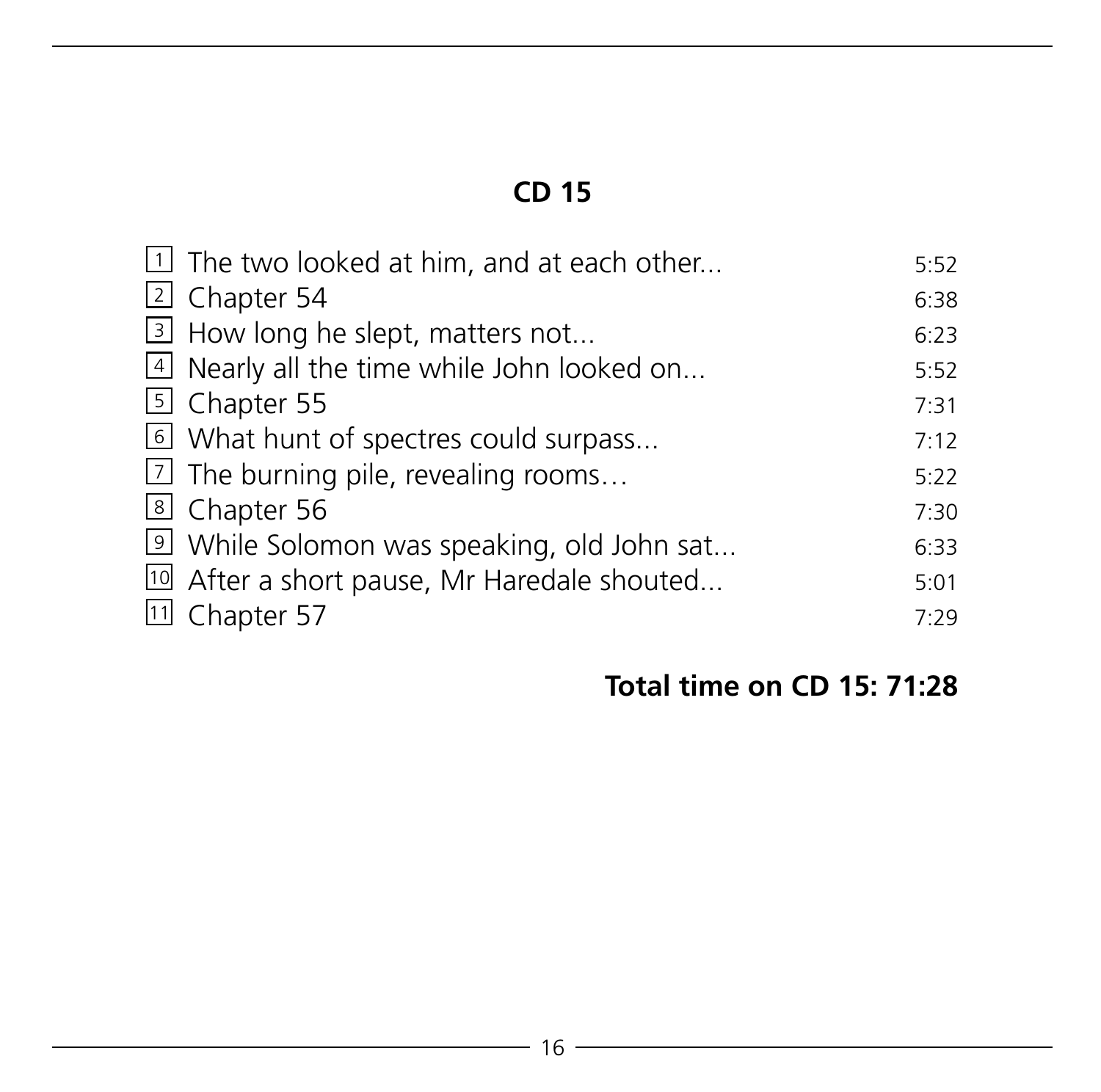| $\boxed{1}$ The two looked at him, and at each other  | 5:52 |
|-------------------------------------------------------|------|
|                                                       |      |
| 2 Chapter 54                                          | 6:38 |
| 3 How long he slept, matters not                      | 6:23 |
| 4 Nearly all the time while John looked on            | 5:52 |
| [5] Chapter 55                                        | 7:31 |
| U What hunt of spectres could surpass                 | 7:12 |
| $\lfloor 2 \rfloor$ The burning pile, revealing rooms | 5:22 |
| 8 Chapter 56                                          | 7:30 |
| I While Solomon was speaking, old John sat            | 6:33 |
| 10 After a short pause, Mr Haredale shouted           | 5:01 |
| <sup>[11]</sup> Chapter 57                            | 7:29 |

# **Total time on CD 15: 71:28**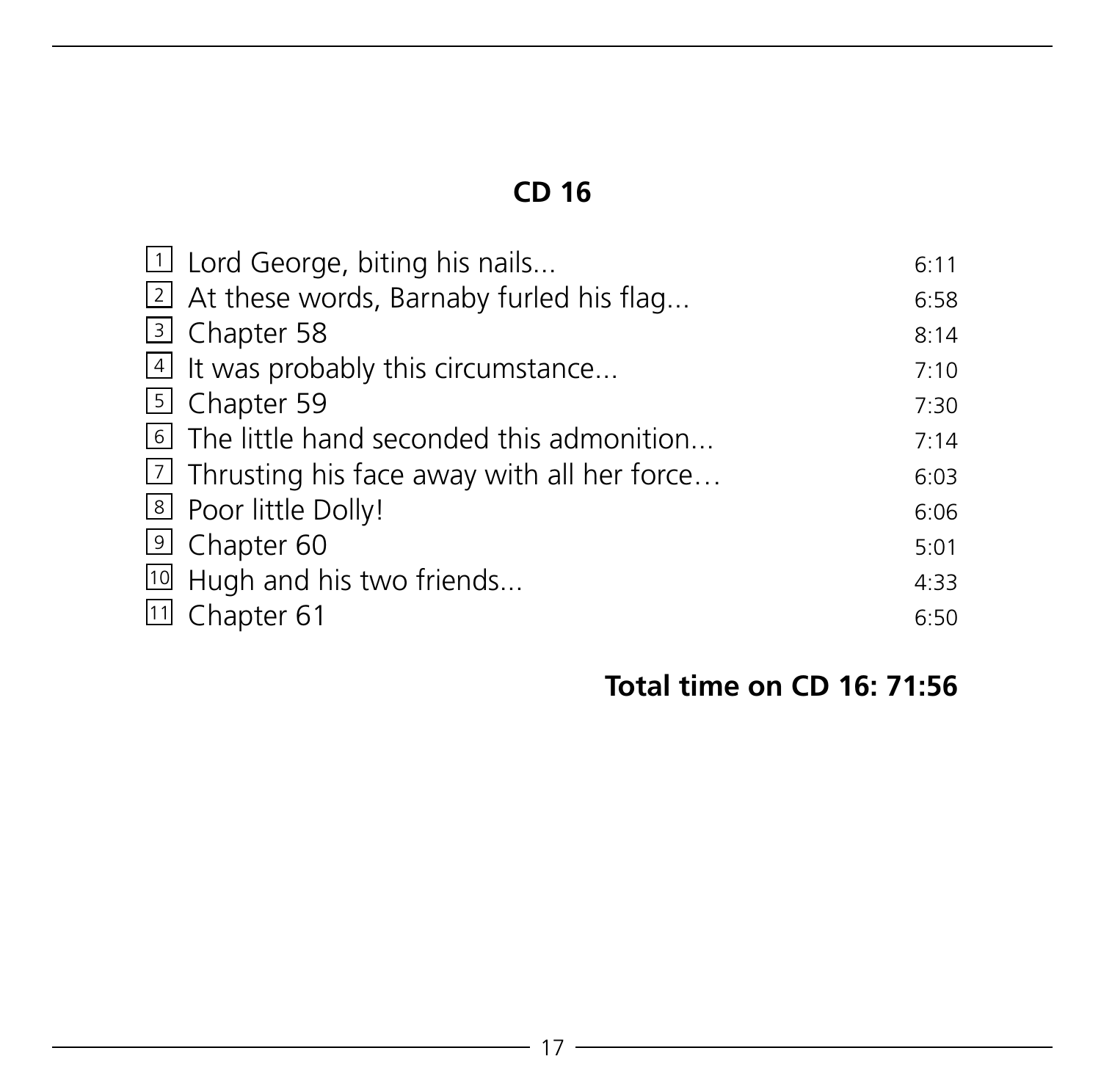| 1 Lord George, biting his nails                      | 6:11 |
|------------------------------------------------------|------|
| $\boxed{2}$ At these words, Barnaby furled his flag  | 6:58 |
| 3 Chapter 58                                         | 8:14 |
| 4 It was probably this circumstance                  | 7:10 |
| 5 Chapter 59                                         | 7:30 |
| The little hand seconded this admonition             | 7:14 |
| $\lfloor$ Thrusting his face away with all her force | 6:03 |
| <sup>8</sup> Poor little Dolly!                      | 6:06 |
| <sup>9</sup> Chapter 60                              | 5:01 |
| 10 Hugh and his two friends                          | 4:33 |
| [11] Chapter 61                                      | 6:50 |

# **Total time on CD 16: 71:56**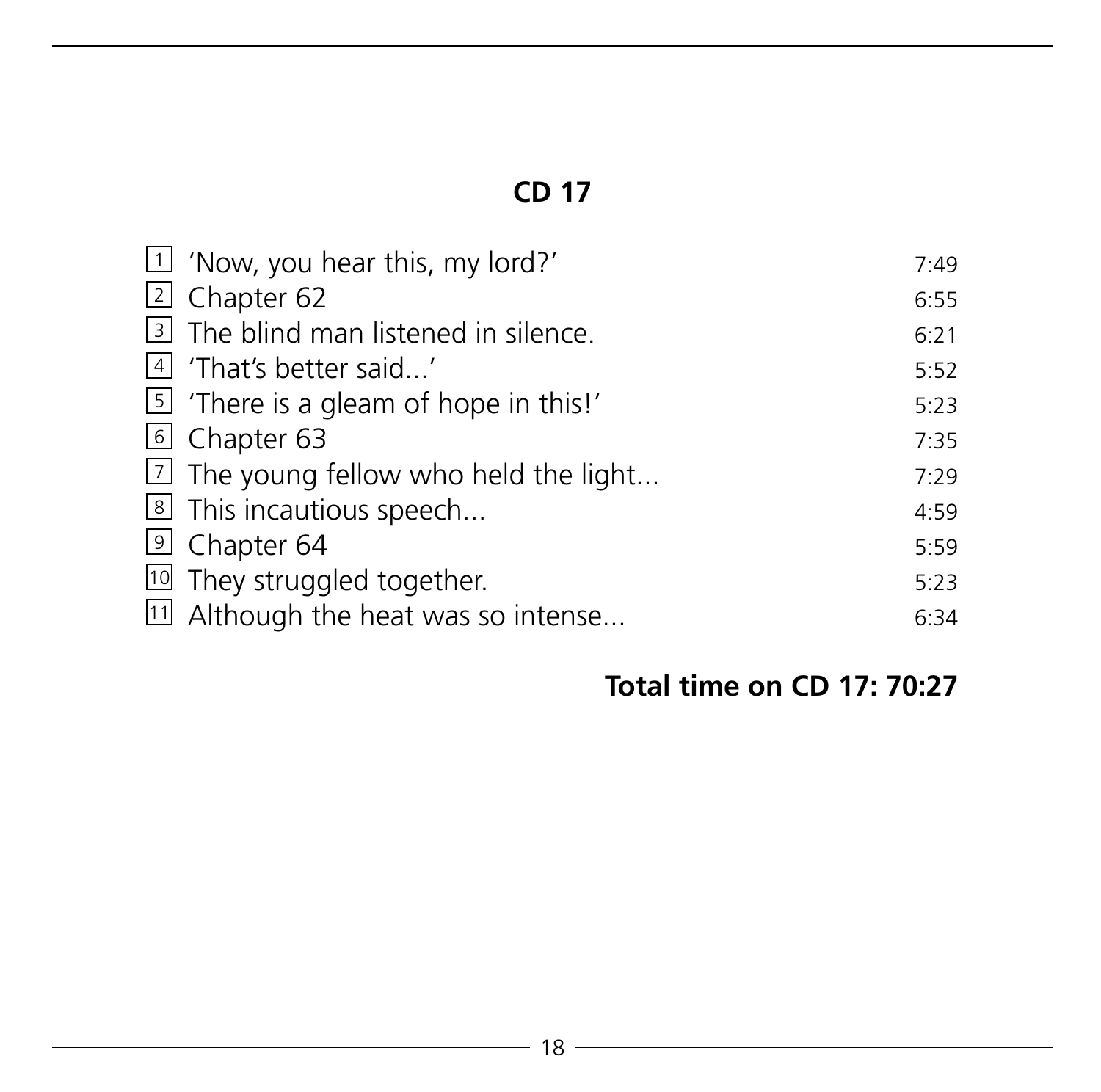| $\boxed{1}$ 'Now, you hear this, my lord?'      | 7:49 |
|-------------------------------------------------|------|
| 2 Chapter 62                                    | 6:55 |
| 3 The blind man listened in silence.            | 6:21 |
| 4 'That's better said'                          | 5:52 |
| $\boxed{5}$ There is a gleam of hope in this!'  | 5:23 |
| 6 Chapter 63                                    | 7:35 |
| $\boxed{2}$ The young fellow who held the light | 7:29 |
| 8 This incautious speech                        | 4:59 |
| <sup>9</sup> Chapter 64                         | 5:59 |
| <sup>10</sup> They struggled together.          | 5:23 |
| 11 Although the heat was so intense             | 6:34 |

# **Total time on CD 17: 70:27**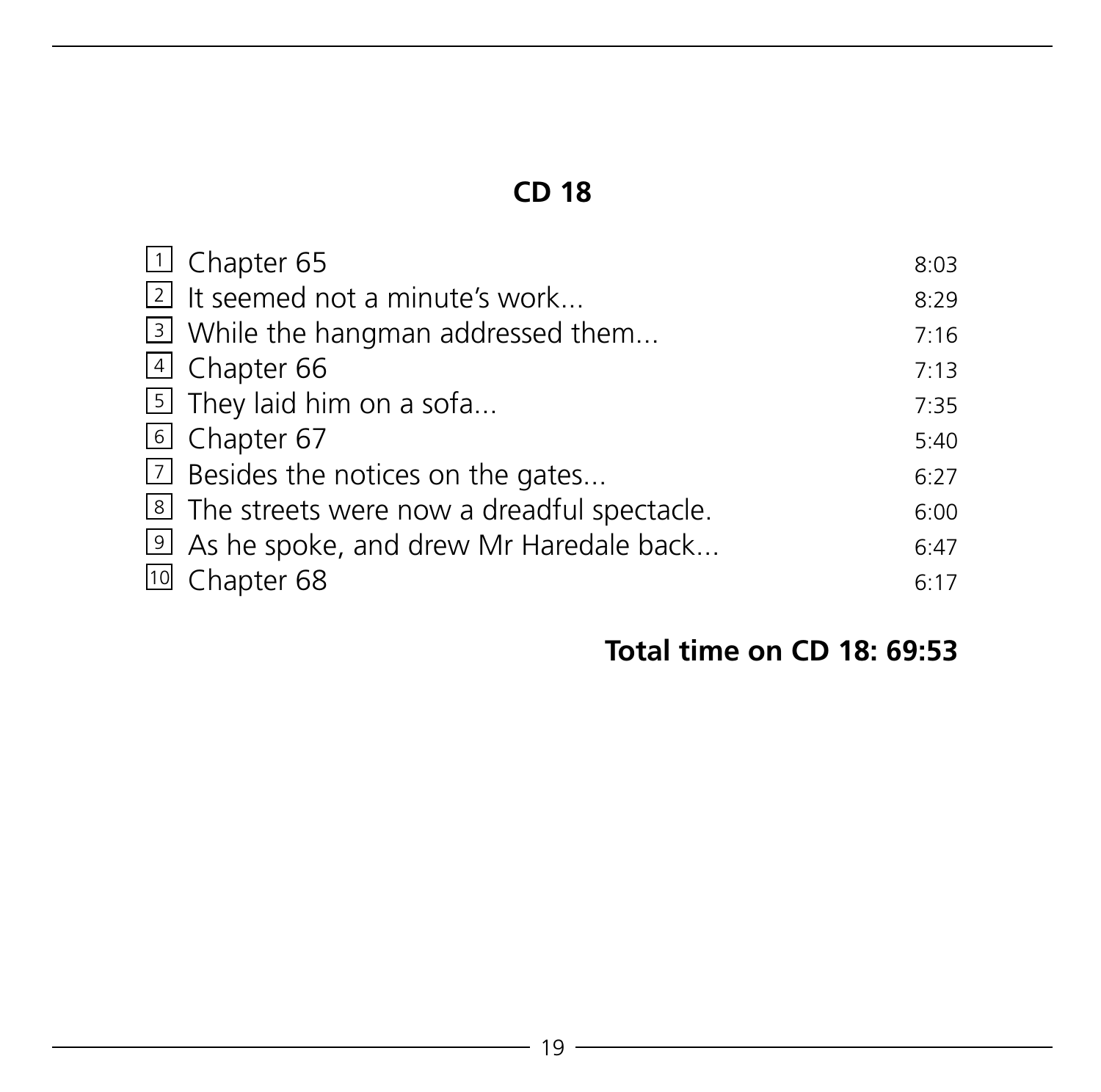| □ Chapter 65                                    | 8:03 |
|-------------------------------------------------|------|
| 2 It seemed not a minute's work                 | 8:29 |
| 3 While the hangman addressed them              | 7:16 |
| 4 Chapter 66                                    | 7:13 |
| $\boxed{5}$ They laid him on a sofa             | 7:35 |
| 6 Chapter 67                                    | 5:40 |
| 7 Besides the notices on the gates              | 6:27 |
| The streets were now a dreadful spectacle.      | 6:00 |
| <b>2</b> As he spoke, and drew Mr Haredale back | 6:47 |
| <sup>10</sup> Chapter 68                        | 6:17 |

#### **Total time on CD 18: 69:53**

 $\overline{\phantom{0}}$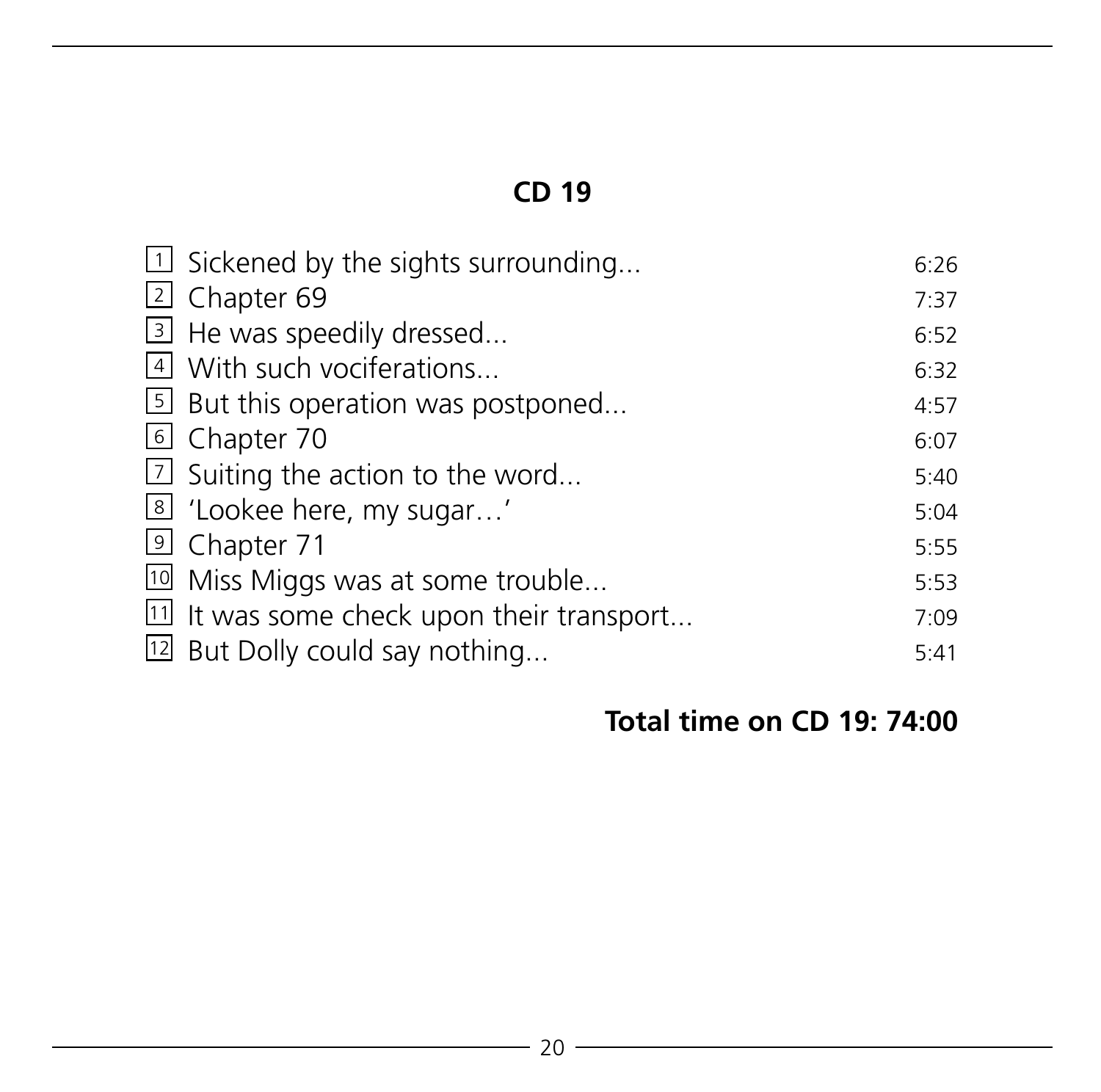| $\Box$ Sickened by the sights surrounding           | 6:26 |
|-----------------------------------------------------|------|
| $\lfloor 2 \rfloor$ Chapter 69                      | 7:37 |
| 3 He was speedily dressed                           | 6:52 |
| $\vert$ With such vociferations                     | 6:32 |
| $\vert$ But this operation was postponed            | 4:57 |
| 6 Chapter 70                                        | 6:07 |
| $\boxed{2}$ Suiting the action to the word          | 5:40 |
| <sup>8</sup> 'Lookee here, my sugar'                | 5:04 |
| 9 Chapter 71                                        | 5:55 |
| <sup>10</sup> Miss Miggs was at some trouble        | 5:53 |
| $\boxed{11}$ It was some check upon their transport | 7:09 |
| [12] But Dolly could say nothing                    | 5:41 |

# **Total time on CD 19: 74:00**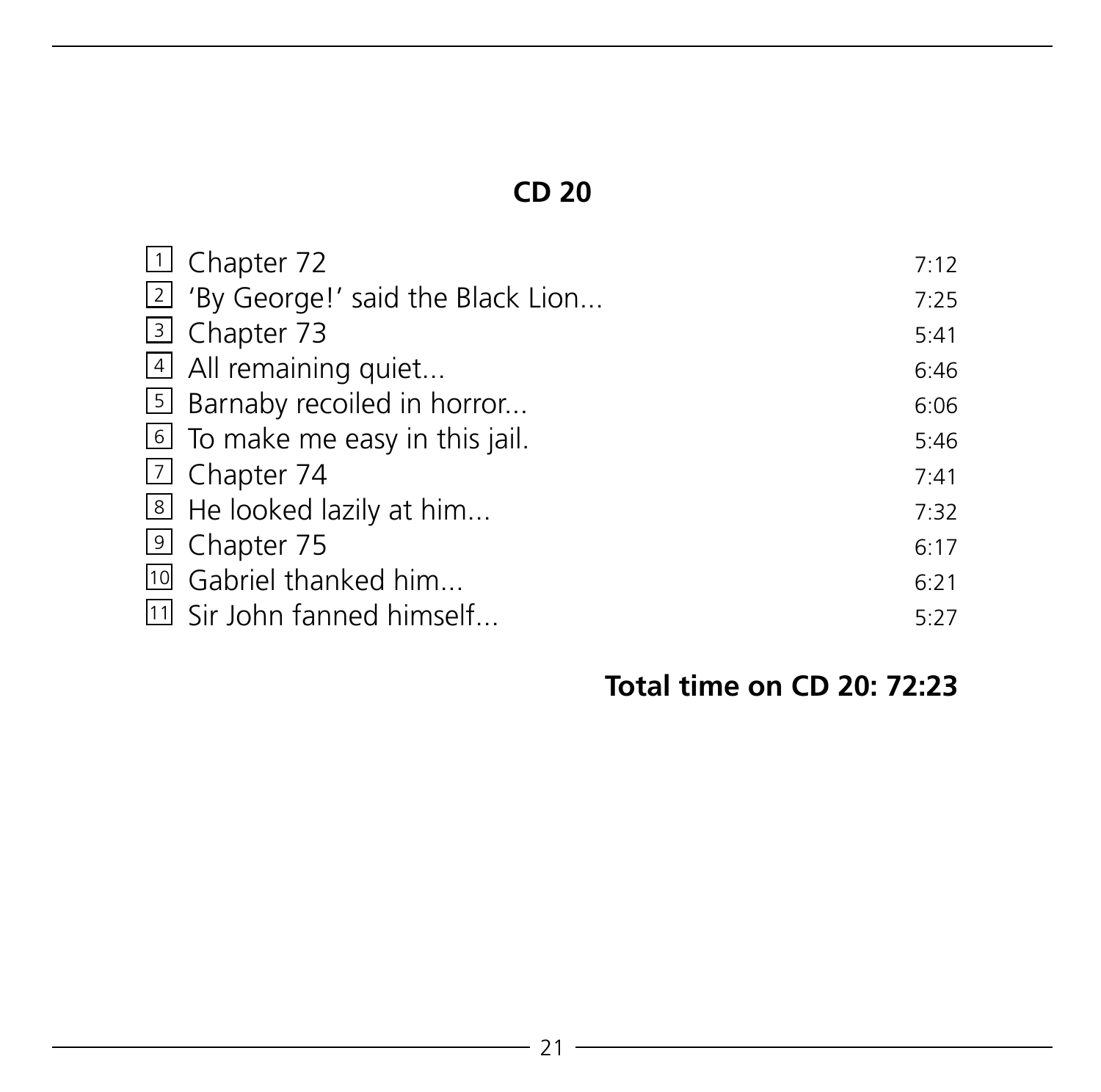| 1 Chapter 72                                  | 7:12 |
|-----------------------------------------------|------|
| <sup>2</sup> 'By George!' said the Black Lion | 7:25 |
| 3 Chapter 73                                  | 5:41 |
| 4 All remaining quiet                         | 6:46 |
| 5 Barnaby recoiled in horror                  | 6:06 |
| <b>6</b> To make me easy in this jail.        | 5:46 |
| $\boxed{7}$ Chapter 74                        | 7:41 |
| 8 He looked lazily at him                     | 7:32 |
| <sup>9</sup> Chapter 75                       | 6:17 |
| <sup>10</sup> Gabriel thanked him             | 6:21 |
| [11] Sir John fanned himself                  | 5:27 |

# **Total time on CD 20: 72:23**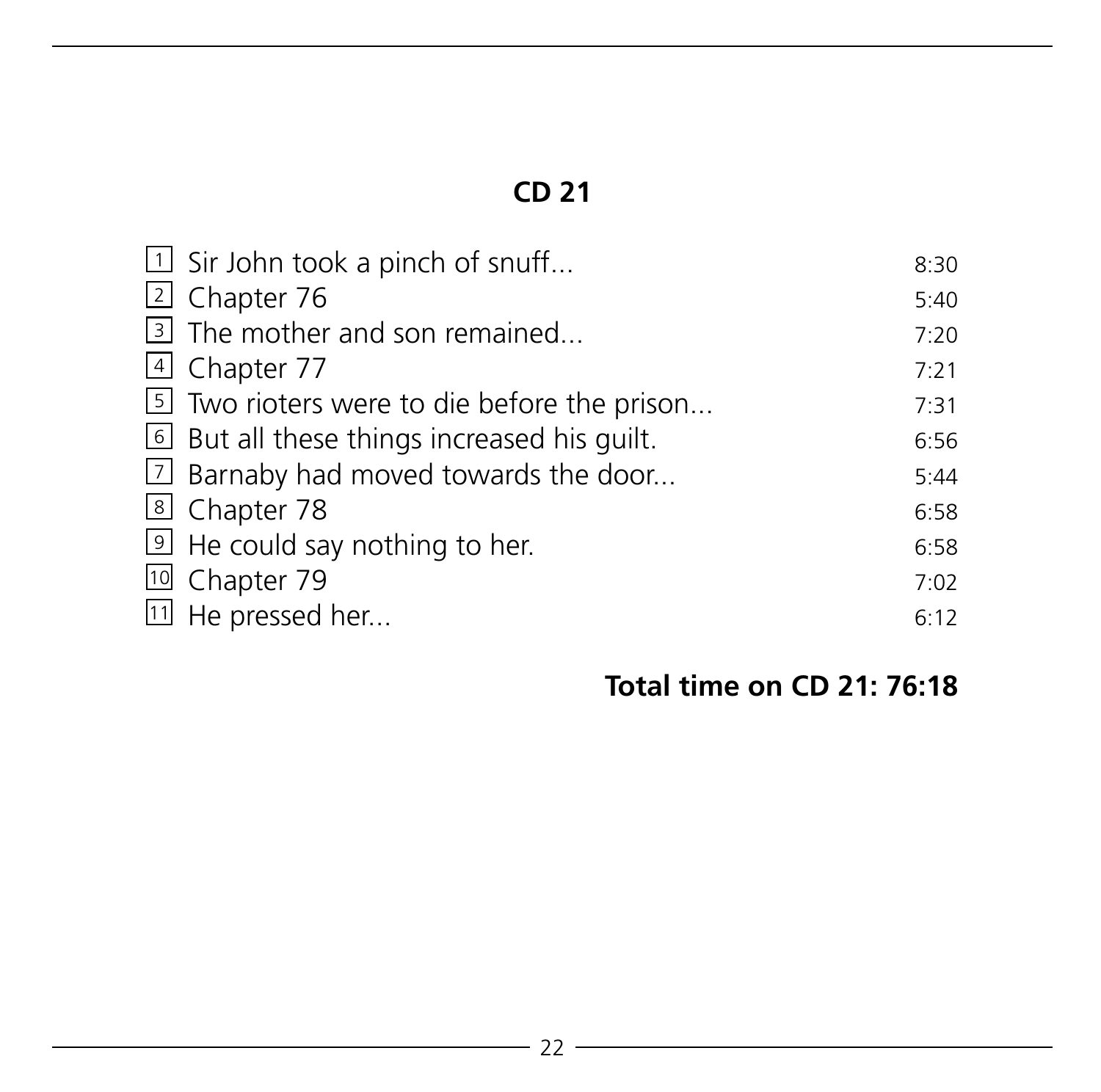|                                                         | 8:30                                       |
|---------------------------------------------------------|--------------------------------------------|
| 2 Chapter 76                                            | 5:40                                       |
| $\vert$ 3 The mother and son remained                   | 7:20                                       |
| 4 Chapter 77                                            | 7:21                                       |
| 5 Two rioters were to die before the prison             | 7:31                                       |
| <b>But all these things increased his quilt.</b>        | 6:56                                       |
| [7] Barnaby had moved towards the door                  | 5:44                                       |
| 8 Chapter 78                                            | 6:58                                       |
| $\vert \mathfrak{D} \vert$ He could say nothing to her. | 6:58                                       |
| <sup>10</sup> Chapter 79                                | 7:02                                       |
| 11 He pressed her                                       | 6:12                                       |
|                                                         | $\boxed{1}$ Sir John took a pinch of snuff |

# **Total time on CD 21: 76:18**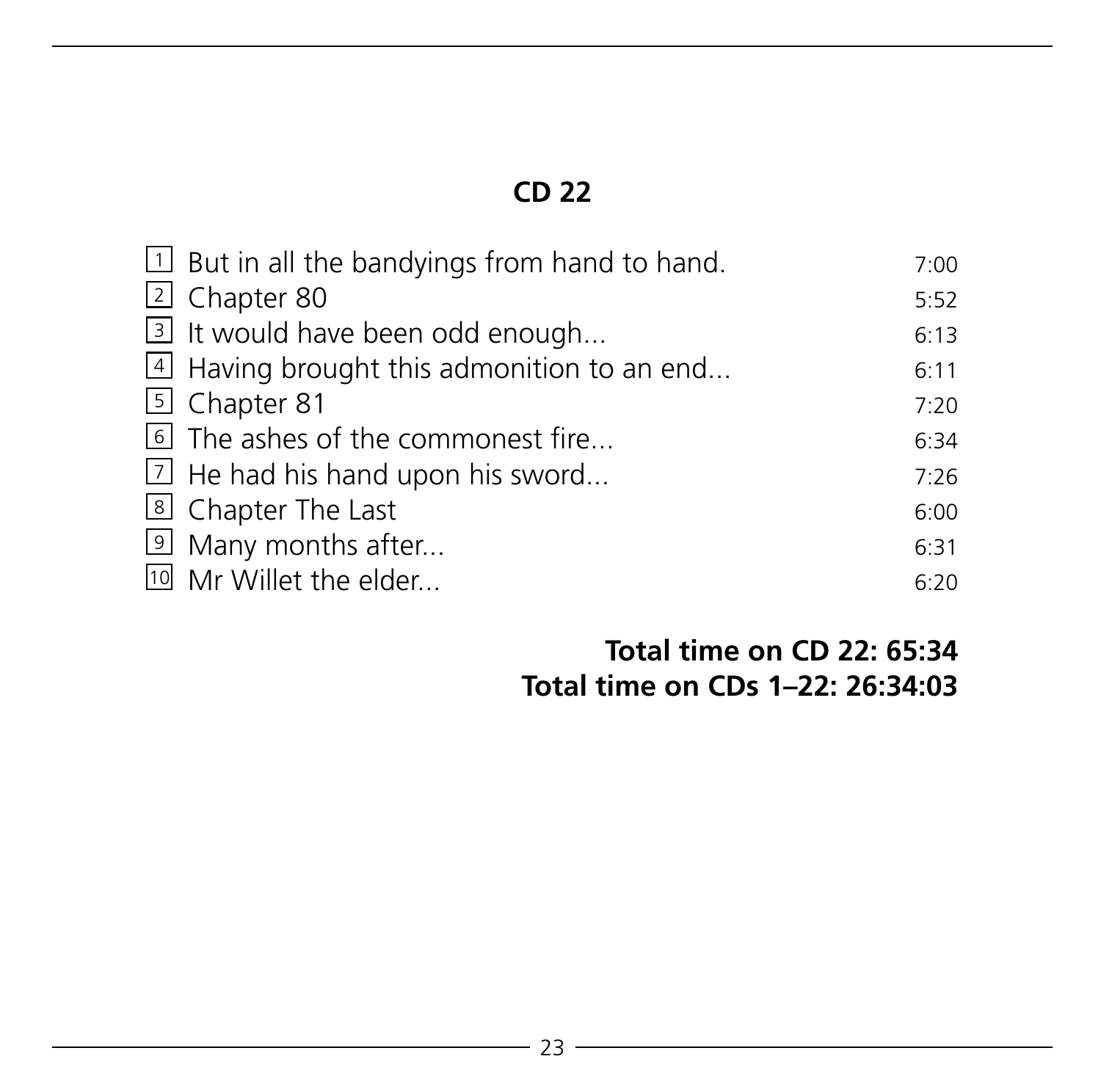| $\boxed{1}$ But in all the bandyings from hand to hand. | 7:00 |
|---------------------------------------------------------|------|
| $\lfloor 2 \rfloor$ Chapter 80                          | 5:52 |
| 3 It would have been odd enough                         | 6:13 |
| $\vert$ Having brought this admonition to an end        | 6:11 |
| [5] Chapter 81                                          | 7:20 |
| The ashes of the commonest fire                         | 6:34 |
| $\boxed{2}$ He had his hand upon his sword              | 7:26 |
| I Chapter The Last                                      | 6:00 |
| 9 Many months after                                     | 6:31 |
| <sup>10</sup> Mr Willet the elder                       | 6:20 |

#### **Total time on CD 22: 65:34 Total time on CDs 1–22: 26:34:03**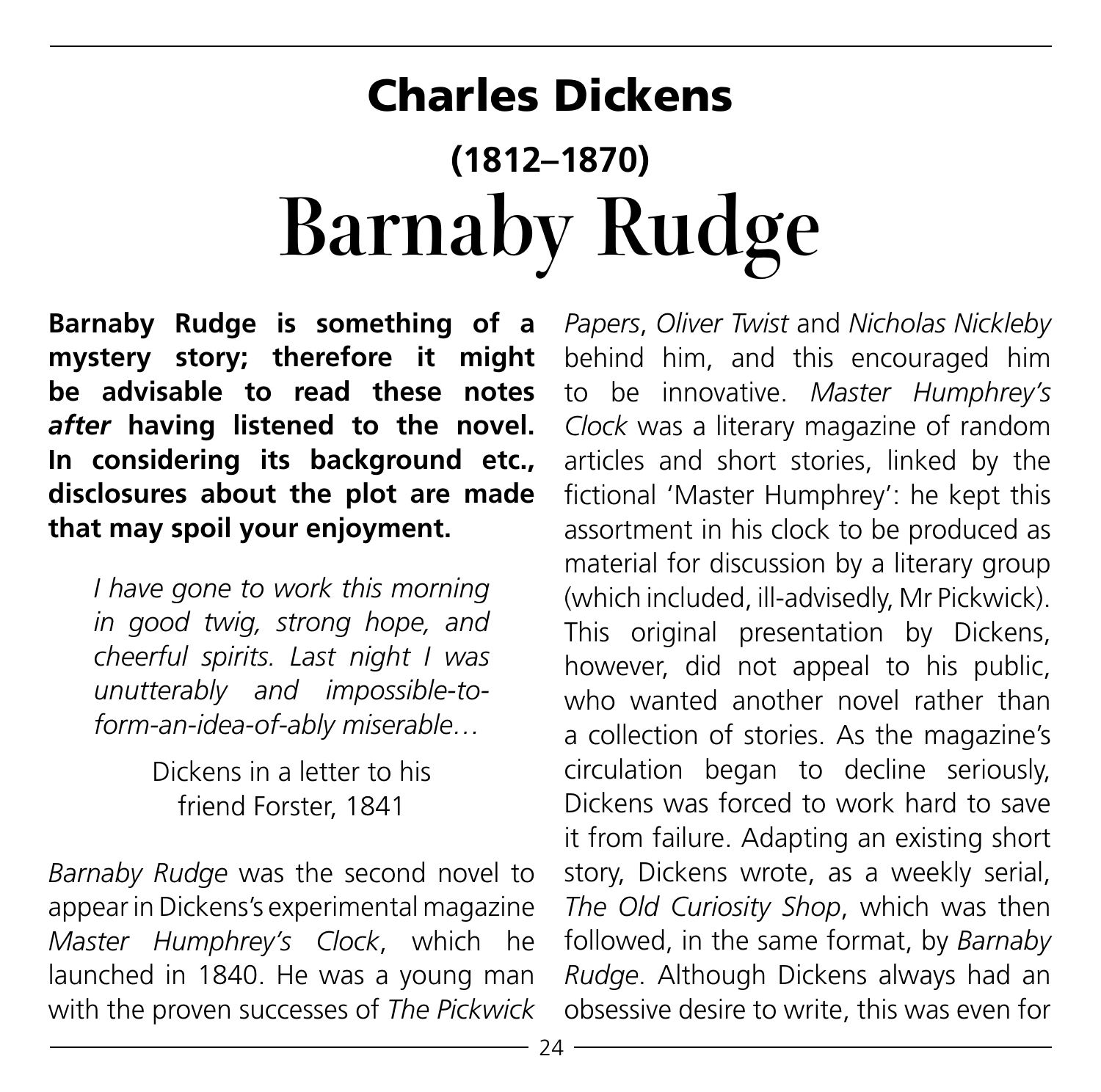# Charles Dickens **(1812–1870) Barnaby Rudge**

**Barnaby Rudge is something of a mystery story; therefore it might be advisable to read these notes**  *after* **having listened to the novel. In considering its background etc., disclosures about the plot are made that may spoil your enjoyment.**

*I have gone to work this morning in good twig, strong hope, and cheerful spirits. Last night I was unutterably and impossible-toform-an-idea-of-ably miserable…*

> Dickens in a letter to his friend Forster, 1841

*Barnaby Rudge* was the second novel to appear in Dickens's experimental magazine *Master Humphrey's Clock*, which he launched in 1840. He was a young man with the proven successes of *The Pickwick*  *Papers*, *Oliver Twist* and *Nicholas Nickleby*  behind him, and this encouraged him to be innovative. *Master Humphrey's Clock* was a literary magazine of random articles and short stories, linked by the fictional 'Master Humphrey': he kept this assortment in his clock to be produced as material for discussion by a literary group (which included, ill-advisedly, Mr Pickwick). This original presentation by Dickens, however, did not appeal to his public, who wanted another novel rather than a collection of stories. As the magazine's circulation began to decline seriously, Dickens was forced to work hard to save it from failure. Adapting an existing short story, Dickens wrote, as a weekly serial, *The Old Curiosity Shop*, which was then followed, in the same format, by *Barnaby Rudge*. Although Dickens always had an obsessive desire to write, this was even for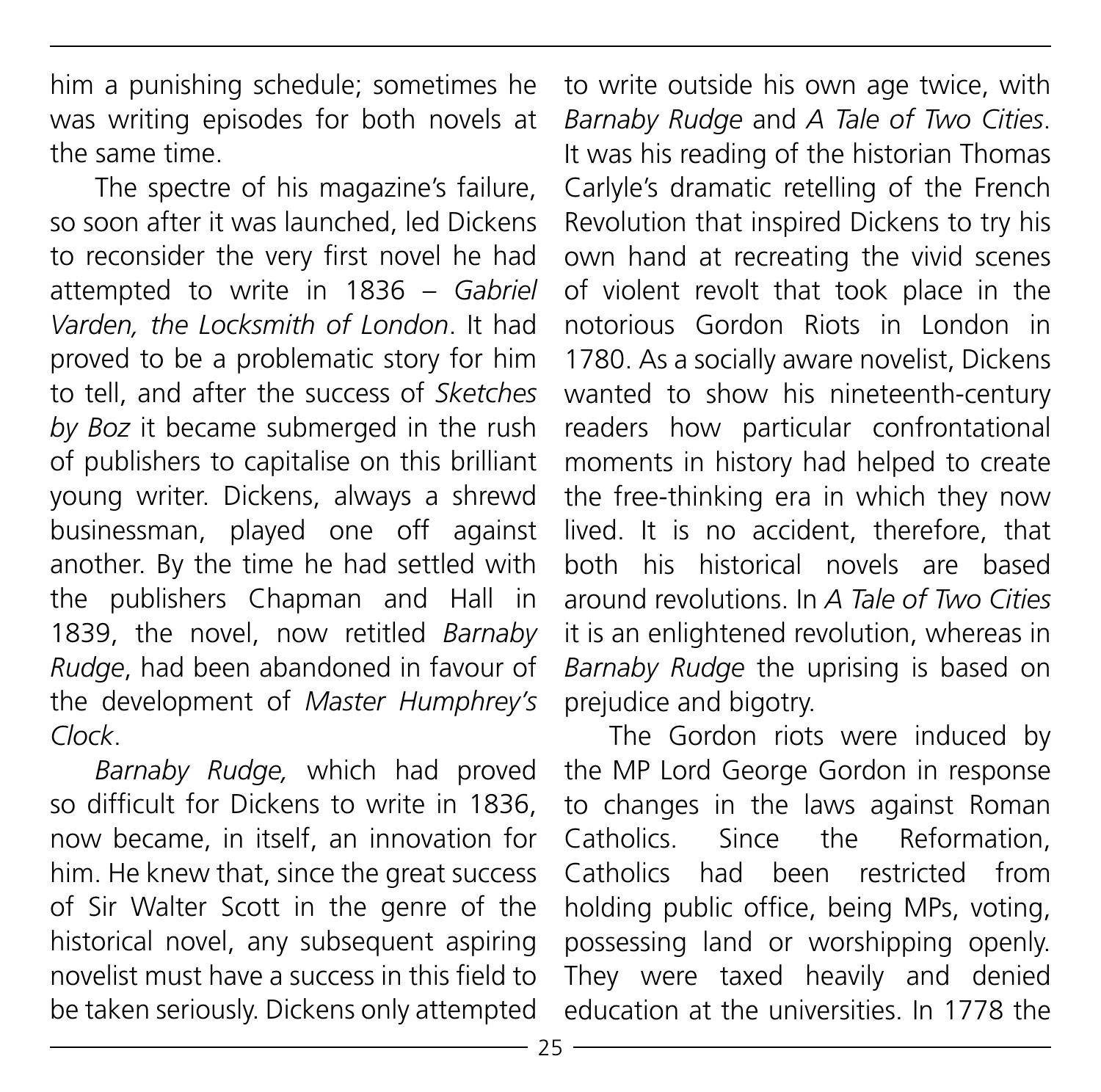him a punishing schedule; sometimes he was writing episodes for both novels at the same time.

The spectre of his magazine's failure, so soon after it was launched, led Dickens to reconsider the very first novel he had attempted to write in 1836 – *Gabriel Varden, the Locksmith of London*. It had proved to be a problematic story for him to tell, and after the success of *Sketches by Boz* it became submerged in the rush of publishers to capitalise on this brilliant young writer. Dickens, always a shrewd businessman, played one off against another. By the time he had settled with the publishers Chapman and Hall in 1839, the novel, now retitled *Barnaby Rudge*, had been abandoned in favour of the development of *Master Humphrey's Clock*.

*Barnaby Rudge,* which had proved so difficult for Dickens to write in 1836, now became, in itself, an innovation for him. He knew that, since the great success of Sir Walter Scott in the genre of the historical novel, any subsequent aspiring novelist must have a success in this field to be taken seriously. Dickens only attempted

to write outside his own age twice, with *Barnaby Rudge* and *A Tale of Two Cities*. It was his reading of the historian Thomas Carlyle's dramatic retelling of the French Revolution that inspired Dickens to try his own hand at recreating the vivid scenes of violent revolt that took place in the notorious Gordon Riots in London in 1780. As a socially aware novelist, Dickens wanted to show his nineteenth-century readers how particular confrontational moments in history had helped to create the free-thinking era in which they now lived. It is no accident, therefore, that both his historical novels are based around revolutions. In *A Tale of Two Cities*  it is an enlightened revolution, whereas in *Barnaby Rudge* the uprising is based on prejudice and bigotry.

The Gordon riots were induced by the MP Lord George Gordon in response to changes in the laws against Roman Catholics. Since the Reformation, Catholics had been restricted from holding public office, being MPs, voting, possessing land or worshipping openly. They were taxed heavily and denied education at the universities. In 1778 the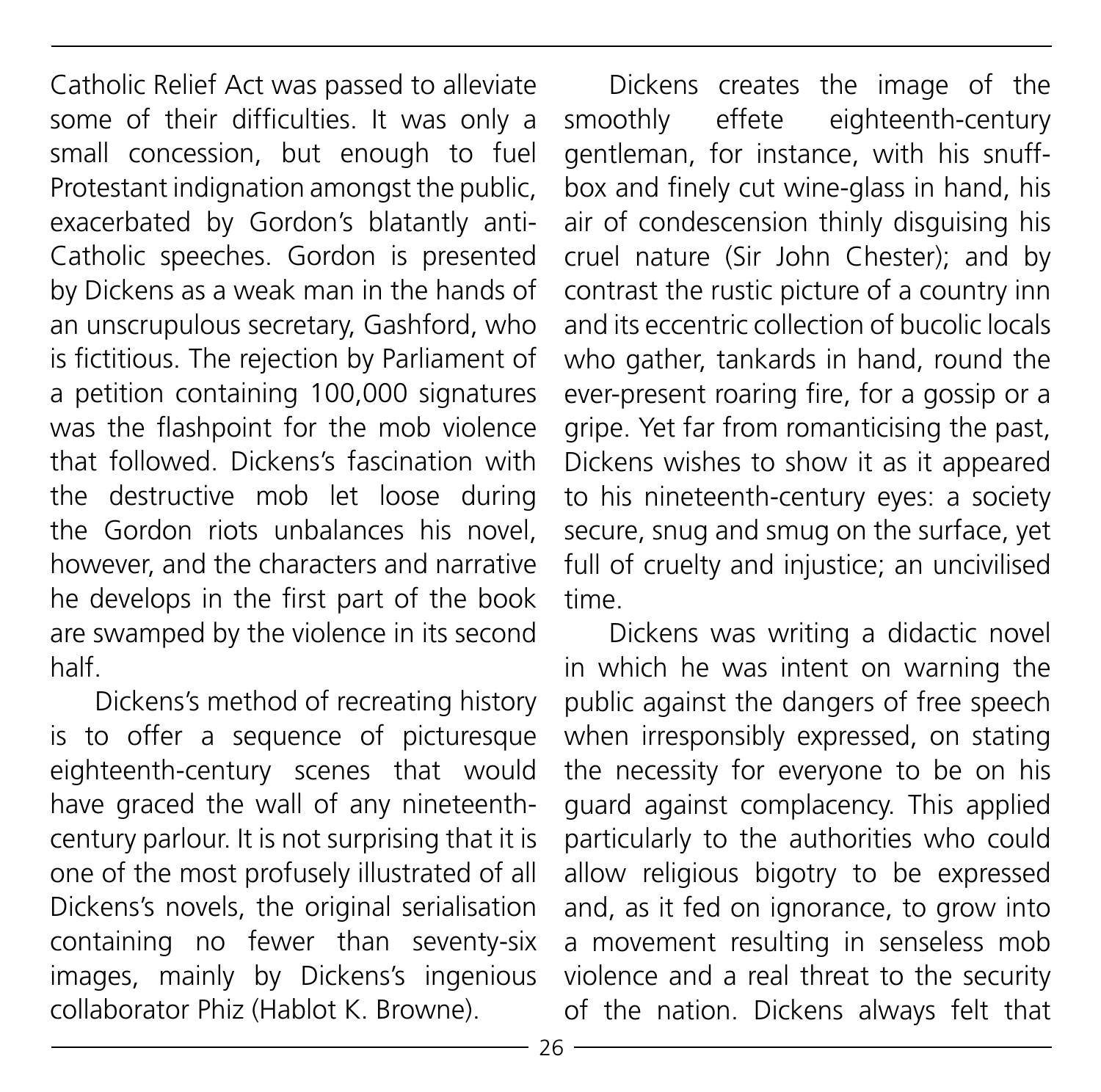Catholic Relief Act was passed to alleviate some of their difficulties. It was only a small concession, but enough to fuel Protestant indignation amongst the public, exacerbated by Gordon's blatantly anti-Catholic speeches. Gordon is presented by Dickens as a weak man in the hands of an unscrupulous secretary, Gashford, who is fictitious. The rejection by Parliament of a petition containing 100,000 signatures was the flashpoint for the mob violence that followed. Dickens's fascination with the destructive mob let loose during the Gordon riots unbalances his novel, however, and the characters and narrative he develops in the first part of the book are swamped by the violence in its second half.

Dickens's method of recreating history is to offer a sequence of picturesque eighteenth-century scenes that would have graced the wall of any nineteenthcentury parlour. It is not surprising that it is one of the most profusely illustrated of all Dickens's novels, the original serialisation containing no fewer than seventy-six images, mainly by Dickens's ingenious collaborator Phiz (Hablot K. Browne).

Dickens creates the image of the smoothly effete eighteenth-century gentleman, for instance, with his snuffbox and finely cut wine-glass in hand, his air of condescension thinly disguising his cruel nature (Sir John Chester); and by contrast the rustic picture of a country inn and its eccentric collection of bucolic locals who gather, tankards in hand, round the ever-present roaring fire, for a gossip or a gripe. Yet far from romanticising the past, Dickens wishes to show it as it appeared to his nineteenth-century eyes: a society secure, snug and smug on the surface, yet full of cruelty and injustice; an uncivilised time.

Dickens was writing a didactic novel in which he was intent on warning the public against the dangers of free speech when irresponsibly expressed, on stating the necessity for everyone to be on his guard against complacency. This applied particularly to the authorities who could allow religious bigotry to be expressed and, as it fed on ignorance, to grow into a movement resulting in senseless mob violence and a real threat to the security of the nation. Dickens always felt that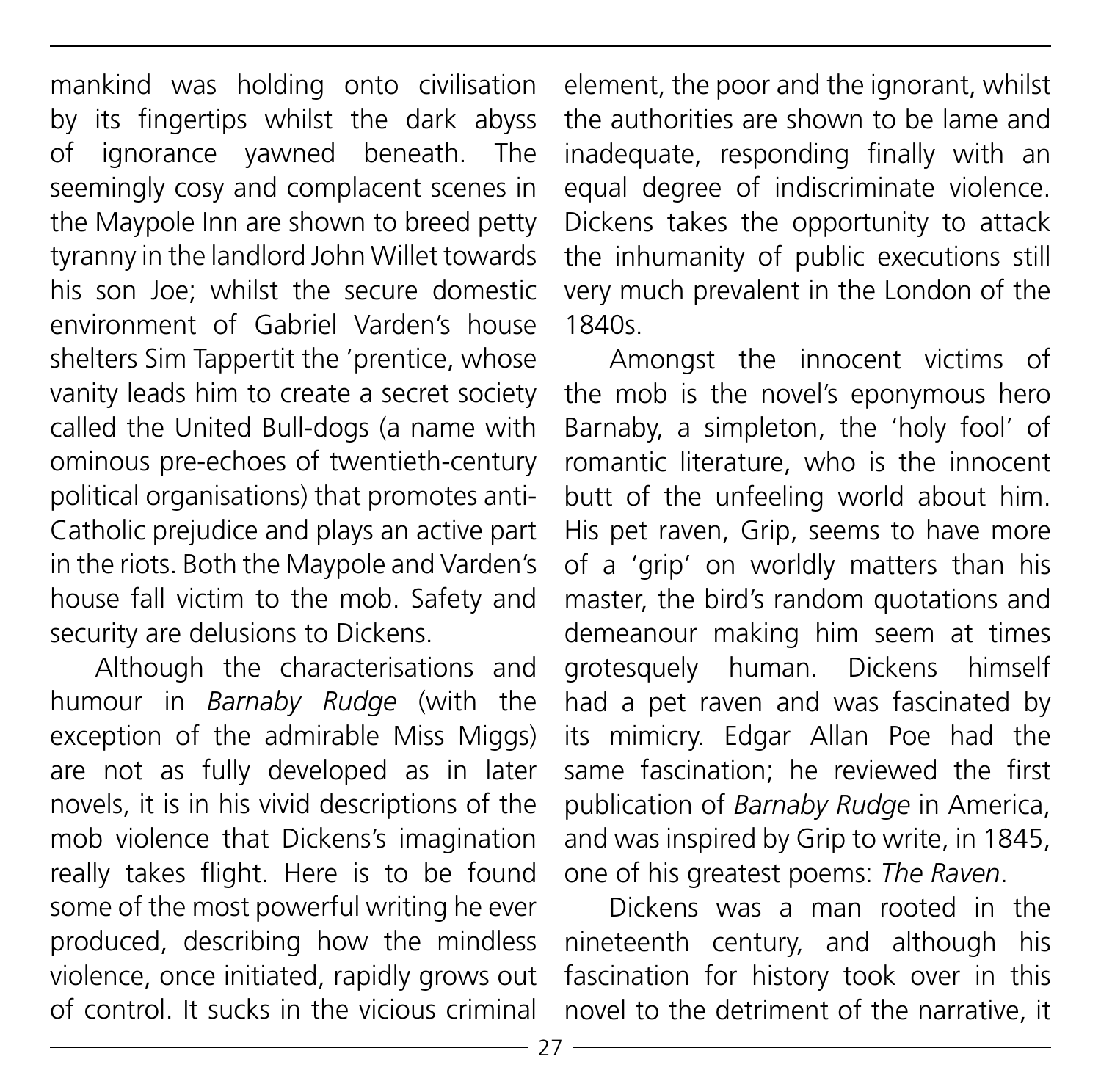mankind was holding onto civilisation by its fingertips whilst the dark abyss of ignorance yawned beneath. The seemingly cosy and complacent scenes in the Maypole Inn are shown to breed petty tyranny in the landlord John Willet towards his son Joe; whilst the secure domestic environment of Gabriel Varden's house shelters Sim Tappertit the 'prentice, whose vanity leads him to create a secret society called the United Bull-dogs (a name with ominous pre-echoes of twentieth-century political organisations) that promotes anti-Catholic prejudice and plays an active part in the riots. Both the Maypole and Varden's house fall victim to the mob. Safety and security are delusions to Dickens.

Although the characterisations and humour in *Barnaby Rudge* (with the exception of the admirable Miss Miggs) are not as fully developed as in later novels, it is in his vivid descriptions of the mob violence that Dickens's imagination really takes flight. Here is to be found some of the most powerful writing he ever produced, describing how the mindless violence, once initiated, rapidly grows out of control. It sucks in the vicious criminal

element, the poor and the ignorant, whilst the authorities are shown to be lame and inadequate, responding finally with an equal degree of indiscriminate violence. Dickens takes the opportunity to attack the inhumanity of public executions still very much prevalent in the London of the 1840s.

Amongst the innocent victims of the mob is the novel's eponymous hero Barnaby, a simpleton, the 'holy fool' of romantic literature, who is the innocent butt of the unfeeling world about him. His pet raven, Grip, seems to have more of a 'grip' on worldly matters than his master, the bird's random quotations and demeanour making him seem at times grotesquely human. Dickens himself had a pet raven and was fascinated by its mimicry. Edgar Allan Poe had the same fascination; he reviewed the first publication of *Barnaby Rudge* in America, and was inspired by Grip to write, in 1845, one of his greatest poems: *The Raven*.

Dickens was a man rooted in the nineteenth century, and although his fascination for history took over in this novel to the detriment of the narrative, it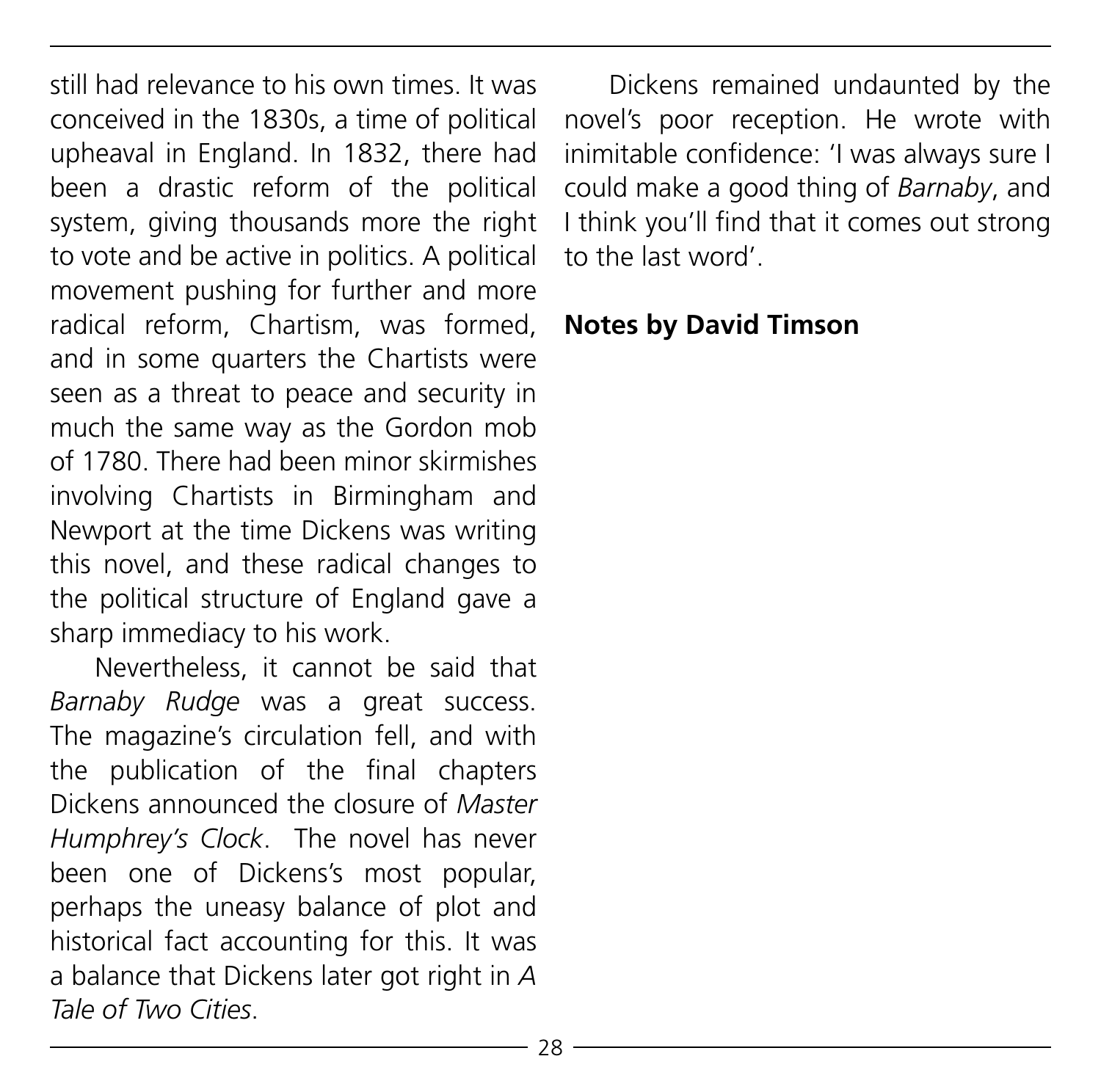still had relevance to his own times. It was conceived in the 1830s, a time of political upheaval in England. In 1832, there had been a drastic reform of the political system, giving thousands more the right to vote and be active in politics. A political movement pushing for further and more radical reform, Chartism, was formed, and in some quarters the Chartists were seen as a threat to peace and security in much the same way as the Gordon mob of 1780. There had been minor skirmishes involving Chartists in Birmingham and Newport at the time Dickens was writing this novel, and these radical changes to the political structure of England gave a sharp immediacy to his work.

Nevertheless, it cannot be said that *Barnaby Rudge* was a great success. The magazine's circulation fell, and with the publication of the final chapters Dickens announced the closure of *Master Humphrey's Clock*. The novel has never been one of Dickens's most popular, perhaps the uneasy balance of plot and historical fact accounting for this. It was a balance that Dickens later got right in *A Tale of Two Cities*.

Dickens remained undaunted by the novel's poor reception. He wrote with inimitable confidence: 'I was always sure I could make a good thing of *Barnaby*, and I think you'll find that it comes out strong to the last word'.

#### **Notes by David Timson**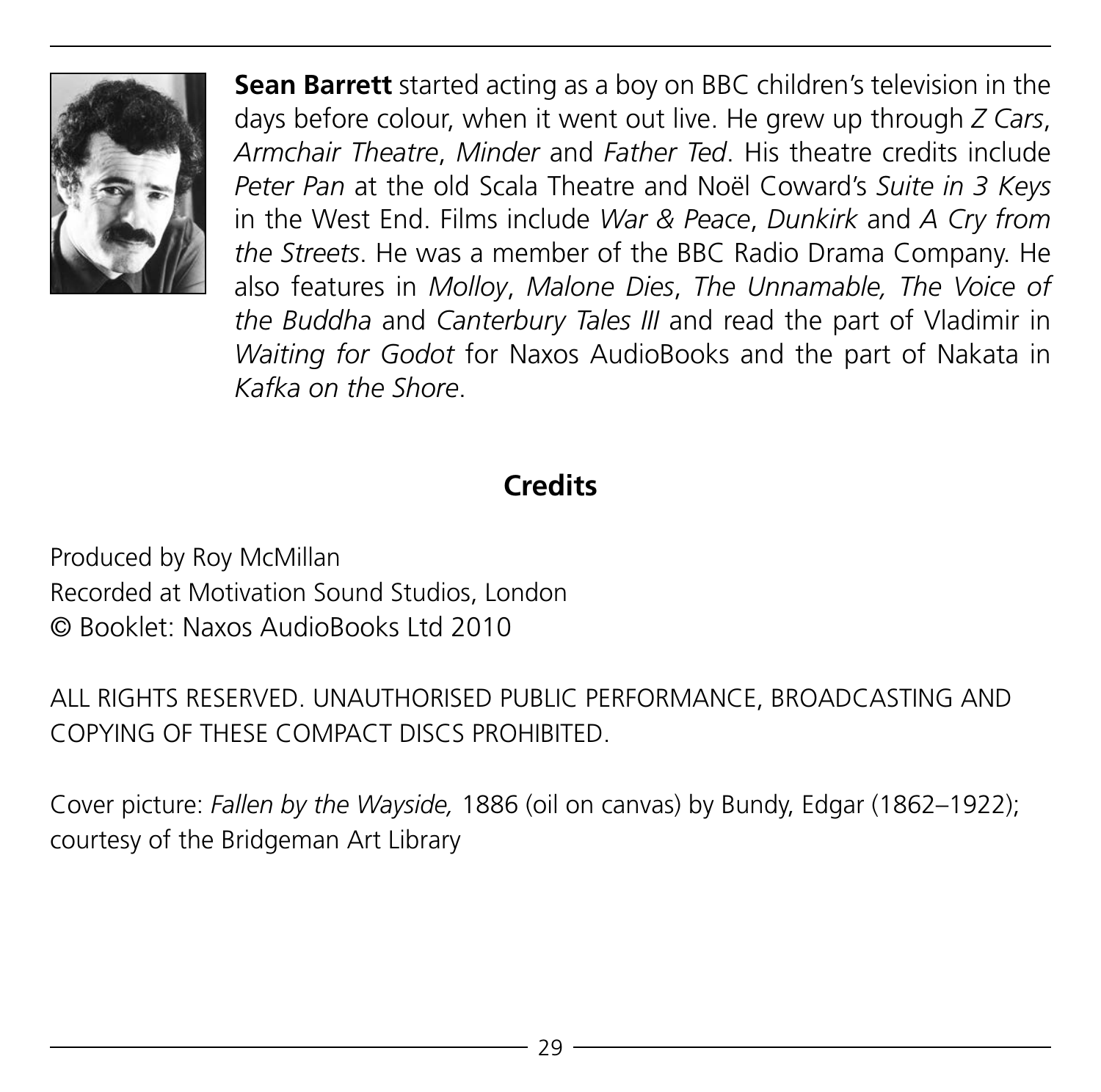

**Sean Barrett** started acting as a boy on BBC children's television in the days before colour, when it went out live. He grew up through *Z Cars*, *Armchair Theatre*, *Minder* and *Father Ted*. His theatre credits include *Peter Pan* at the old Scala Theatre and Noël Coward's *Suite in 3 Keys* in the West End. Films include *War & Peace*, *Dunkirk* and *A Cry from the Streets*. He was a member of the BBC Radio Drama Company. He also features in *Molloy*, *Malone Dies*, *The Unnamable, The Voice of the Buddha* and *Canterbury Tales III* and read the part of Vladimir in *Waiting for Godot* for Naxos AudioBooks and the part of Nakata in *Kafka on the Shore*.

# **Credits**

Produced by Roy McMillan Recorded at Motivation Sound Studios, London © Booklet: Naxos AudioBooks Ltd 2010

ALL RIGHTS RESERVED. UNAUTHORISED PUBLIC PERFORMANCE, BROADCASTING AND COPYING OF THESE COMPACT DISCS PROHIBITED.

Cover picture: *Fallen by the Wayside,* 1886 (oil on canvas) by Bundy, Edgar (1862–1922); courtesy of the Bridgeman Art Library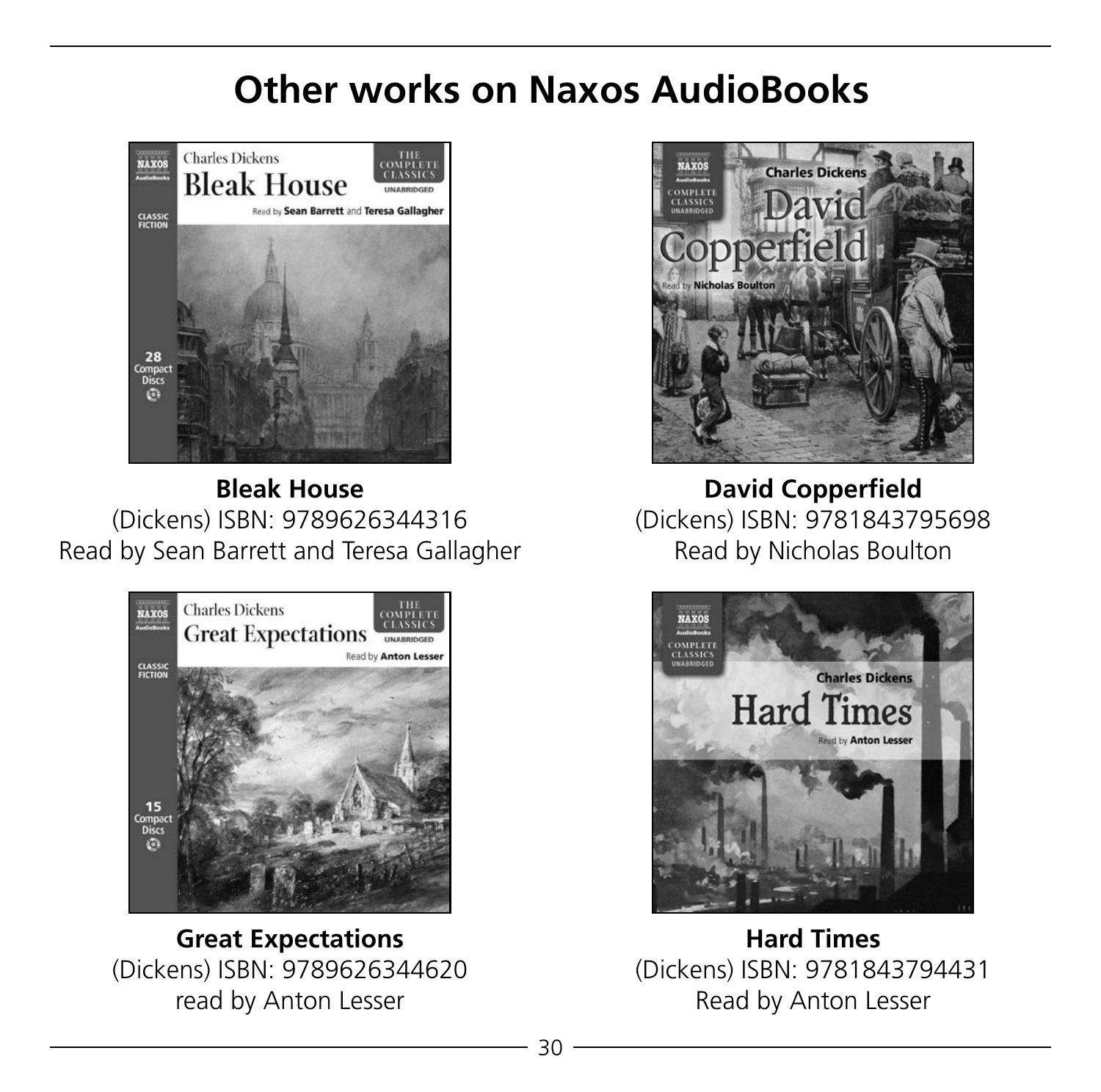# **Other works on Naxos AudioBooks**



**Bleak House**  (Dickens) ISBN: 9789626344316 Read by Sean Barrett and Teresa Gallagher



**Great Expectations**  (Dickens) ISBN: 9789626344620 read by Anton Lesser



**David Copperfield**  (Dickens) ISBN: 9781843795698 Read by Nicholas Boulton



**Hard Times**  (Dickens) ISBN: 9781843794431 Read by Anton Lesser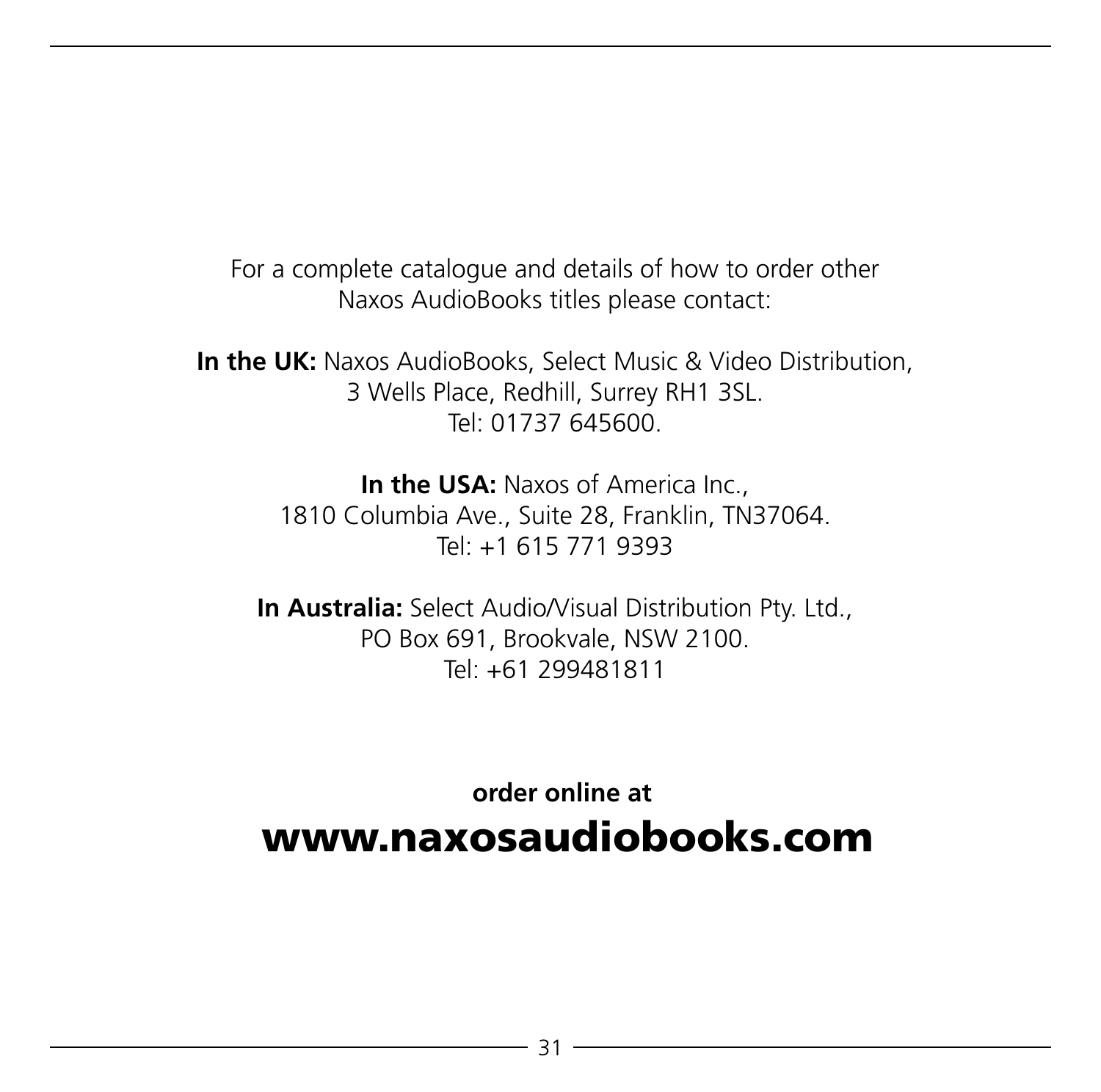For a complete catalogue and details of how to order other Naxos AudioBooks titles please contact:

**In the UK:** Naxos AudioBooks, Select Music & Video Distribution, 3 Wells Place, Redhill, Surrey RH1 3SL. Tel: 01737 645600.

> **In the USA:** Naxos of America Inc. 1810 Columbia Ave., Suite 28, Franklin, TN37064. Tel: +1 615 771 9393

**In Australia:** Select Audio/Visual Distribution Pty. Ltd., PO Box 691, Brookvale, NSW 2100. Tel: +61 299481811

 **order online at** www.naxosaudiobooks.com